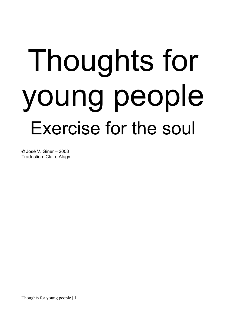# Thoughts for young people Exercise for the soul

© José V. Giner – 2008 Traduction: Claire Alagy

Thoughts for young people | 1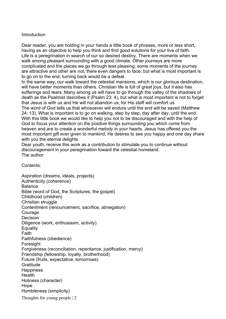#### Introduction

Dear reader, you are holding in your hands a little book of phrases, more or less short, having as an objective to help you think and find good solutions for your live of faith. Life is a peregrination in search of our so desired destiny. There are moments when we walk among pleasant surrounding with a good climate. Other journeys are more complicated and the places we go through less pleasing; some moments of the journey are attractive and other are not, there even dangers to face; but what is most important is to go on to the end; turning back would be a defeat.

In the same way, our walk toward the celestial mansions, which is our glorious destination, will have better moments than others. Christian life is full of great joys, but it also has sufferings and tears. Many among us will have to go through the valley of the shadows of death as the Psalmist describes it (Psalm 23: 4), but what is most important is not to forget that Jesus is with us and He will not abandon us, for His staff will comfort us.

The word of God tells us that whosoever will endure until the end will be saved (Matthew 24: 13). What is important is to go on walking, step by step, day after day, until the end. With this little book we would like to help you not to be discouraged and with the help of God to focus your attention on the positive things surrounding you which come from heaven and are to create a wonderful melody in your hearts. Jesus has offered you the most important gift ever given to mankind; He desires to see you happy and one day share with you the eternal delights

Dear youth, receive this work as a contribution to stimulate you to continue without discouragement in your peregrination toward the celestial homeland. The author

Contents:

Thoughts for young people | 2 Aspiration (dreams, ideals, projects) Authenticity (coherence) Balance Bible (word of God, the Scriptures, the gospel) Childhood (children) Christian struggle Contentment (renouncement, sacrifice, abnegation) **Courage Decision** Diligence (work, enthusiasm, activity) **Equality** Faith Faithfulness (obedience) **Foresight** Forgiveness (reconciliation, repentance, justification, mercy) Friendship (fellowship, loyalty, brotherhood) Future (fruits, expectative, tomorrows) **Gratitude Happiness Health** Holiness (character) Hope Humbleness (simplicity)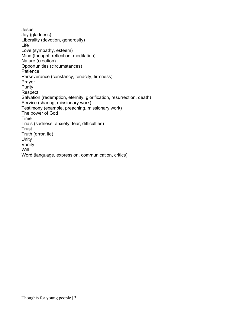Jesus Joy (gladness) Liberality (devotion, generosity) Life Love (sympathy, esteem) Mind (thought, reflection, meditation) Nature (creation) Opportunities (circumstances) **Patience** Perseverance (constancy, tenacity, firmness) Prayer Purity Respect Salvation (redemption, eternity, glorification, resurrection, death) Service (sharing, missionary work) Testimony (example, preaching, missionary work) The power of God Time Trials (sadness, anxiety, fear, difficulties) **Trust** Truth (error, lie) Unity Vanity **Will** Word (language, expression, communication, critics)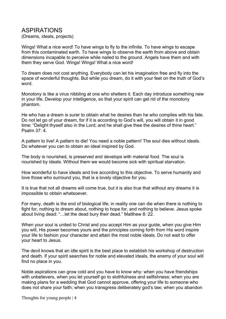#### ASPIRATIONS

(Dreams, ideals, projects)

Wings! What a nice word! To have wings to fly to the infinite. To have wings to escape from this contaminated earth. To have wings to observe the earth from above and obtain dimensions incapable to perceive while nailed to the ground. Angels have them and with them they serve God. Wings! Wings! What a nice word!

To dream does not cost anything. Everybody can let his imagination free and fly into the space of wonderful thoughts. But while you dream, do it with your feet on the truth of God's word.

Monotony is like a virus nibbling at one who shelters it. Each day introduce something new in your life. Develop your intelligence, so that your spirit can get rid of the monotony phantom.

He who has a dream is surer to obtain what he desires than he who complies with his fate. Do not let go of your dream, for if it is according to God's will, you will obtain it in good time: "Delight thyself also in the Lord; and he shall give thee the desires of thine heart." Psalm 37: 4.

A pattern to live! A pattern to die! You need a noble pattern! The soul dies without ideals. Do whatever you can to obtain an ideal inspired by God.

The body is nourished, is preserved and develops with material food. The soul is nourished by ideals. Without them we would become sick with spiritual starvation.

How wonderful to have ideals and live according to this objective. To serve humanity and love those who surround you, that is a lovely objective for you.

It is true that not all dreams will come true, but it is also true that without any dreams it is impossible to obtain whatsoever.

For many, death is the end of biological life; in reality one can die when there is nothing to fight for, nothing to dream about, nothing to hope for, and nothing to believe. Jesus spoke about living dead: "…let the dead bury their dead." Matthew 8: 22.

When your soul is united to Christ and you accept Him as your guide, when you give Him you will, His power becomes yours and the principles coming forth from His word inspire your life to fashion your character and attain the most noble ideals. Do not wait to offer your heart to Jesus.

The devil knows that an idle spirit is the best place to establish his workshop of destruction and death. If your spirit searches for noble and elevated ideals, the enemy of your soul will find no place in you.

Noble aspirations can grow cold and you have to know why: when you have friendships with unbelievers, when you let yourself go to slothfulness and selfishness; when you are making plans for a wedding that God cannot approve, offering your life to someone who does not share your faith; when you transgress deliberately god's law; when you abandon

Thoughts for young people | 4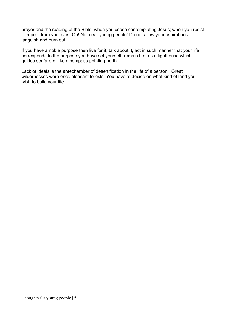prayer and the reading of the Bible; when you cease contemplating Jesus; when you resist to repent from your sins. Oh! No, dear young people! Do not allow your aspirations languish and burn out.

If you have a noble purpose then live for it, talk about it, act in such manner that your life corresponds to the purpose you have set yourself, remain firm as a lighthouse which guides seafarers, like a compass pointing north.

Lack of ideals is the antechamber of desertification in the life of a person. Great wildernesses were once pleasant forests. You have to decide on what kind of land you wish to build your life.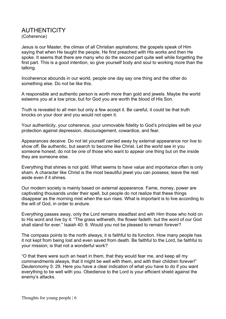#### **AUTHENTICITY** (Coherence)

Jesus is our Master, the climax of all Christian aspirations; the gospels speak of Him saying that when He taught the people, He first preached with His works and then He spoke. It seems that there are many who do the second part quite well while forgetting the first part. This is a good intention, so give yourself body and soul to working more than the talking.

Incoherence abounds in our world, people one day say one thing and the other do something else. Do not be like this.

A responsible and authentic person is worth more than gold and jewels. Maybe the world esteems you at a low price, but for God you are worth the blood of His Son.

Truth is revealed to all men but only a few accept it. Be careful, it could be that truth knocks on your door and you would not open it.

Your authenticity, your coherence, your unmovable fidelity to God's principles will be your protection against depression, discouragement, cowardice, and fear.

Appearances deceive. Do not let yourself carried away by external appearance nor live to show off. Be authentic, but search to become like Christ. Let the world see in you someone honest; do not be one of those who want to appear one thing but on the inside they are someone else.

Everything that shines is not gold. What seems to have value and importance often is only sham. A character like Christ is the most beautiful jewel you can possess; leave the rest aside even if it shines.

Our modern society is mainly based on external appearance. Fame, money, power are captivating thousands under their spell, but people do not realize that these things disappear as the morning mist when the sun rises. What is important is to live according to the will of God, in order to endure.

Everything passes away, only the Lord remains steadfast and with Him those who hold on to His word and live by it: "The grass withereth, the flower fadeth: but the word of our God shall stand for ever." Isaiah 40: 8. Would you not be pleased to remain forever?

The compass points to the north always, it is faithful to its function. How many people has it not kept from being lost and even saved from death. Be faithful to the Lord, be faithful to your mission; is that not a wonderful work?

"O that there were such an heart in them, that they would fear me, and keep all my commandments always, that it might be well with them, and with their children forever!" Deuteronomy 5: 29. Here you have a clear indication of what you have to do if you want everything to be well with you. Obedience to the Lord is your efficient shield against the enemy's attacks.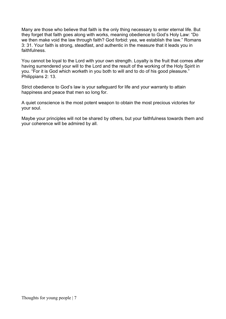Many are those who believe that faith is the only thing necessary to enter eternal life. But they forget that faith goes along with works, meaning obedience to God's Holy Law: "Do we then make void the law through faith? God forbid: yea, we establish the law." Romans 3: 31. Your faith is strong, steadfast, and authentic in the measure that it leads you in faithfulness.

You cannot be loyal to the Lord with your own strength. Loyalty is the fruit that comes after having surrendered your will to the Lord and the result of the working of the Holy Spirit in you. "For it is God which worketh in you both to will and to do of his good pleasure." Philippians 2: 13.

Strict obedience to God's law is your safeguard for life and your warranty to attain happiness and peace that men so long for.

A quiet conscience is the most potent weapon to obtain the most precious victories for your soul.

Maybe your principles will not be shared by others, but your faithfulness towards them and your coherence will be admired by all.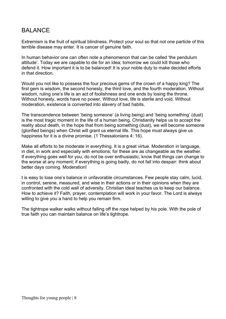## BALANCE

Extremism is the fruit of spiritual blindness. Protect your soul so that not one particle of this terrible disease may enter. It is cancer of genuine faith.

In human behavior one can often note a phenomenon that can be called 'the pendulum attitude'. Today we are capable to die for an idea; tomorrow we could kill those who defend it. How important it is to be balanced! It is your noble duty to make decided efforts in that direction.

Would you not like to possess the four precious gems of the crown of a happy king? The first gem is wisdom, the second honesty, the third love, and the fourth moderation. Without wisdom, ruling one's life is an act of foolishness and one ends by losing the throne. Without honesty, words have no power. Without love, life is sterile and void. Without moderation, existence is converted into slavery of bad habits.

The transcendence between 'being someone' (a living being) and 'being something' (dust) is the most tragic moment in the life of a human being. Christianity helps us to accept the reality about death, in the hope that from being something (dust), we will become someone (glorified beings) when Christ will grant us eternal life. This hope must always give us happiness for it is a divine promise. (1 Thessalonians 4: 16).

Make all efforts to be moderate in everything. It is a great virtue. Moderation in language, in diet, in work and especially with emotions; for these are as changeable as the weather. If everything goes well for you, do not be over enthusiastic, know that things can change to the worse at any moment; if everything is going badly, do not fall into despair: think about better days coming. Moderation!

t is easy to lose one's balance in unfavorable circumstances. Few people stay calm, lucid, in control, serene, measured, and wise in their actions or in their opinions when they are confronted with the cold wall of adversity. Christian ideal teaches us to keep our balance. How to achieve it? Faith, prayer, contemplation will work in your favor. The Lord is always willing to give you a hand to help you remain firm.

The tightrope walker walks without falling off the rope helped by his pole. With the pole of true faith you can maintain balance on life's tightrope.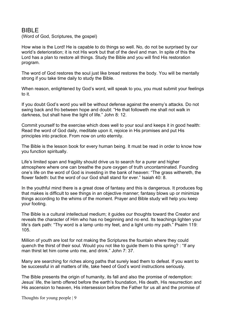#### BIBLE

(Word of God, Scriptures, the gospel)

How wise is the Lord! He is capable to do things so well. No, do not be surprised by our world's deterioration; it is not His work but that of the devil and man. In spite of this the Lord has a plan to restore all things. Study the Bible and you will find His restoration program.

The word of God restores the soul just like bread restores the body. You will be mentally strong if you take time daily to study the Bible.

When reason, enlightened by God's word, will speak to you, you must submit your feelings to it.

If you doubt God's word you will be without defense against the enemy's attacks. Do not swing back and fro between hope and doubt: "He that followeth me shall not walk in darkness, but shall have the light of life." John 8: 12.

Commit yourself to the exercise which does well to your soul and keeps it in good health: Read the word of God daily, meditate upon it, rejoice in His promises and put His principles into practice. From now on unto eternity.

The Bible is the lesson book for every human being. It must be read in order to know how you function spiritually.

Life's limited span and fragility should drive us to search for a purer and higher atmosphere where one can breathe the pure oxygen of truth uncontaminated. Founding one's life on the word of God is investing in the bank of heaven: "The grass withereth, the flower fadeth: but the word of our God shall stand for ever." Isaiah 40: 8.

In the youthful mind there is a great dose of fantasy and this is dangerous. It produces fog that makes is difficult to see things in an objective manner; fantasy blows up or minimize things according to the whims of the moment. Prayer and Bible study will help you keep your footing.

The Bible is a cultural intellectual medium; it guides our thoughts toward the Creator and reveals the character of Him who has no beginning and no end. Its teachings lighten your life's dark path: "Thy word is a lamp unto my feet, and a light unto my path." Psalm 119: 105.

Million of youth are lost for not making the Scriptures the fountain where they could quench the thirst of their soul. Would you not like to guide them to this spring? : "If any man thirst let him come unto me, and drink." John 7: 37.

Many are searching for riches along paths that surely lead them to defeat. If you want to be successful in all matters of life, take heed of God's word instructions seriously.

The Bible presents the origin of humanity, its fall and also the promise of redemption: Jesus' life, the lamb offered before the earth's foundation, His death, His resurrection and His ascension to heaven, His intersession before the Father for us all and the promise of

Thoughts for young people | 9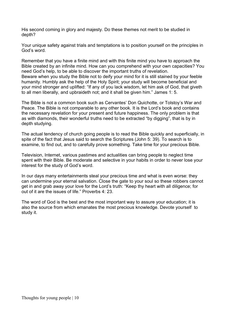His second coming in glory and majesty. Do these themes not merit to be studied in depth?

Your unique safety against trials and temptations is to position yourself on the principles in God's word.

Remember that you have a finite mind and with this finite mind you have to approach the Bible created by an infinite mind. How can you comprehend with your own capacities? You need God's help, to be able to discover the important truths of revelation. Beware when you study the Bible not to deify your mind for it is still stained by your feeble humanity. Humbly ask the help of the Holy Spirit; your study will become beneficial and your mind stronger and uplifted: "If any of you lack wisdom, let him ask of God, that giveth to all men liberally, and upbraideth not; and it shall be given him." James 1: 5.

The Bible is not a common book such as Cervantes' Don Quichotte, or Tolstoy's War and Peace. The Bible is not comparable to any other book. It is the Lord's book and contains the necessary revelation for your present and future happiness. The only problem is that as with diamonds, their wonderful truths need to be extracted "by digging", that is by in depth studying.

The actual tendency of church going people is to read the Bible quickly and superficially, in spite of the fact that Jesus said to search the Scriptures (John 5: 39). To search is to examine, to find out, and to carefully prove something. Take time for your precious Bible.

Television, Internet, various pastimes and actualities can bring people to neglect time spent with their Bible. Be moderate and selective in your habits in order to never lose your interest for the study of God's word.

In our days many entertainments steal your precious time and what is even worse: they can undermine your eternal salvation. Close the gate to your soul so these robbers cannot get in and grab away your love for the Lord's truth: "Keep thy heart with all diligence; for out of it are the issues of life." Proverbs 4: 23.

The word of God is the best and the most important way to assure your education; it is also the source from which emanates the most precious knowledge. Devote yourself to study it.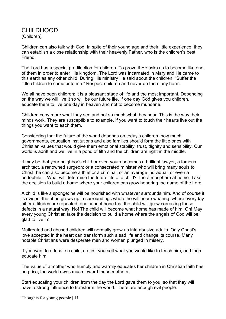#### CHILDHOOD (Children)

Children can also talk with God. In spite of their young age and their little experience, they can establish a close relationship with their heavenly Father, who is the children's best Friend.

The Lord has a special predilection for children. To prove it He asks us to become like one of them in order to enter His kingdom. The Lord was incarnated in Mary and He came to this earth as any other child. During His ministry He said about the children: "Suffer the little children to come unto me." Respect children and never do them any harm.

We all have been children; it is a pleasant stage of life and the most important. Depending on the way we will live it so will be our future life. If one day God gives you children, educate them to live one day in heaven and not to become mundane.

Children copy more what they see and not so much what they hear. This is the way their minds work. They are susceptible to example. If you want to touch their hearts live out the things you want to each them.

Considering that the future of the world depends on today's children, how much governments, education institutions and also families should form the little ones with Christian values that would give them emotional stability, trust, dignity and sensibility. Our world is adrift and we live in a pond of filth and the children are right in the middle.

It may be that your neighbor's child or even yours becomes a brilliant lawyer, a famous architect, a renowned surgeon; or a consecrated minister who will bring many souls to Christ; he can also become a thief or a criminal, or an average individual; or even a pedophile… What will determine the future life of a child? The atmosphere at home. Take the decision to build a home where your children can grow honoring the name of the Lord.

A child is like a sponge: he will be nourished with whatever surrounds him. And of course it is evident that if he grows up in surroundings where he will hear swearing, where everyday bitter attitudes are repeated, one cannot hope that the child will grow correcting these defects in a natural way. No! The child will become what home has made of him. Oh! May every young Christian take the decision to build a home where the angels of God will be glad to live in!

Maltreated and abused children will normally grow up into abusive adults. Only Christ's love accepted in the heart can transform such a sad life and change its course. Many notable Christians were desperate men and women plunged in misery.

If you want to educate a child, do first yourself what you would like to teach him, and then educate him.

The value of a mother who humbly and warmly educates her children in Christian faith has no price; the world owes much toward these mothers.

Start educating your children from the day the Lord gave them to you, so that they will have a strong influence to transform the world. There are enough evil people.

Thoughts for young people | 11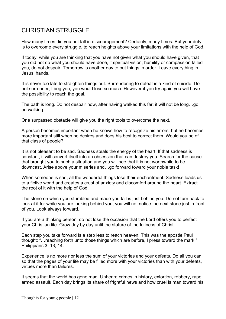# CHRISTIAN STRUGGLE

How many times did you not fall in discouragement? Certainly, many times. But your duty is to overcome every struggle, to reach heights above your limitations with the help of God.

If today, while you are thinking that you have not given what you should have given, that you did not do what you should have done, if spiritual vision, humility or compassion failed you, do not despair. Tomorrow is another day to put things in order. Leave everything in Jesus' hands.

It is never too late to straighten things out. Surrendering to defeat is a kind of suicide. Do not surrender, I beg you, you would lose so much. However if you try again you will have the possibility to reach the goal.

The path is long. Do not despair now, after having walked this far; it will not be long…go on walking.

One surpassed obstacle will give you the right tools to overcome the next.

A person becomes important when he knows how to recognize his errors; but he becomes more important still when he desires and does his best to correct them. Would you be of that class of people?

It is not pleasant to be sad. Sadness steals the energy of the heart. If that sadness is constant, it will convert itself into an obsession that can destroy you. Search for the cause that brought you to such a situation and you will see that it is not worthwhile to be downcast. Arise above your miseries and…go forward toward your noble task!

When someone is sad, all the wonderful things lose their enchantment. Sadness leads us to a fictive world and creates a crust of anxiety and discomfort around the heart. Extract the root of it with the help of God.

The stone on which you stumbled and made you fall is just behind you. Do not turn back to look at it for while you are looking behind you, you will not notice the next stone just in front of you. Look always forward.

If you are a thinking person, do not lose the occasion that the Lord offers you to perfect your Christian life. Grow day by day until the stature of the fullness of Christ.

Each step you take forward is a step less to reach heaven. This was the apostle Paul thought: "…reaching forth unto those things which are before, I press toward the mark." Philippians 3: 13, 14.

Experience is no more nor less the sum of your victories and your defeats. Do all you can so that the pages of your life may be filled more with your victories than with your defeats, virtues more than failures.

It seems that the world has gone mad. Unheard crimes in history, extortion, robbery, rape, armed assault. Each day brings its share of frightful news and how cruel is man toward his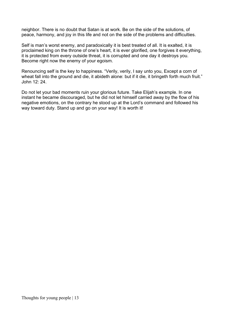neighbor. There is no doubt that Satan is at work. Be on the side of the solutions, of peace, harmony, and joy in this life and not on the side of the problems and difficulties.

Self is man's worst enemy, and paradoxically it is best treated of all. It is exalted, it is proclaimed king on the throne of one's heart, it is ever glorified, one forgives it everything, it is protected from every outside threat, it is corrupted and one day it destroys you. Become right now the enemy of your egoism.

Renouncing self is the key to happiness. "Verily, verily, I say unto you, Except a corn of wheat fall into the ground and die, it abideth alone: but if it die, it bringeth forth much fruit." John 12: 24.

Do not let your bad moments ruin your glorious future. Take Elijah's example. In one instant he became discouraged, but he did not let himself carried away by the flow of his negative emotions, on the contrary he stood up at the Lord's command and followed his way toward duty. Stand up and go on your way! It is worth it!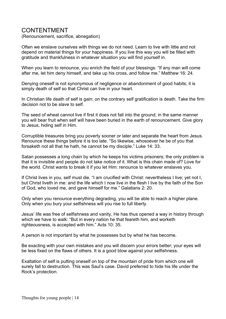#### CONTENTMENT

(Renouncement, sacrifice, abnegation)

Often we enslave ourselves with things we do not need. Learn to live with little and not depend on material things for your happiness. If you live this way you will be filled with gratitude and thankfulness in whatever situation you will find yourself in.

When you learn to renounce, you enrich the field of your blessings: "If any man will come after me, let him deny himself, and take up his cross, and follow me." Matthew 16: 24.

Denying oneself is not synonymous of negligence or abandonment of good habits; it is simply death of self so that Christ can live in your heart.

In Christian life death of self is gain; on the contrary self gratification is death. Take the firm decision not to be slave to self.

The seed of wheat cannot live if first it does not fall into the ground; in the same manner you will bear fruit when self will have been buried in the earth of renouncement. Give glory to Jesus, hiding self in Him.

Corruptible treasures bring you poverty sooner or later and separate the heart from Jesus. Renounce these things before it is too late. "So likewise, whosoever he be of you that forsaketh not all that he hath, he cannot be my disciple." Luke 14: 33.

Satan possesses a long chain by which he keeps his victims prisoners; the only problem is that it is invisible and people do not take notice of it. What is this chain made of? Love for the world. Christ wants to break it if you let Him: renounce to whatever enslaves you.

If Christ lives in you, self must die. "I am crucified with Christ: nevertheless I live; yet not I, but Christ liveth in me: and the life which I now live in the flesh I live by the faith of the Son of God, who loved me, and gave himself for me." Galatians 2: 20.

Only when you renounce everything degrading, you will be able to reach a higher plane. Only when you bury your selfishness will you rise to full liberty.

Jesus' life was free of selfishness and vanity, He has thus opened a way in history through which we have to walk: "But in every nation he that feareth him, and worketh righteousness, is accepted with him." Acts 10: 35.

A person is not important by what he possesses but by what he has become.

Be exacting with your own mistakes and you will discern your errors better; your eyes will be less fixed on the flaws of others. It is a good blow against your selfishness.

Exaltation of self is putting oneself on top of the mountain of pride from which one will surely fall to destruction. This was Saul's case. David preferred to hide his life under the Rock's protection.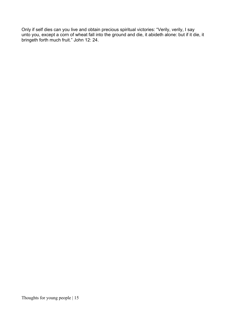Only if self dies can you live and obtain precious spiritual victories: "Verily, verily, I say unto you, except a corn of wheat fall into the ground and die, it abideth alone: but if it die, it bringeth forth much fruit." John 12: 24.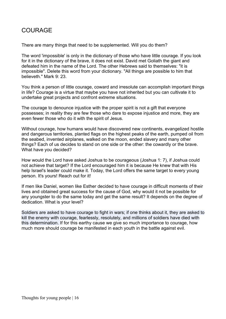## COURAGE

There are many things that need to be supplemented. Will you do them?

The word 'impossible' is only in the dictionary of those who have little courage. If you look for it in the dictionary of the brave, it does not exist. David met Goliath the giant and defeated him in the name of the Lord. The other Hebrews said to themselves: "it is impossible". Delete this word from your dictionary. "All things are possible to him that believeth." Mark 9: 23.

You think a person of little courage, coward and irresolute can accomplish important things in life? Courage is a virtue that maybe you have not inherited but you can cultivate it to undertake great projects and confront extreme situations.

The courage to denounce injustice with the proper spirit is not a gift that everyone possesses; in reality they are few those who dare to expose injustice and more, they are even fewer those who do it with the spirit of Jesus.

Without courage, how humans would have discovered new continents, evangelized hostile and dangerous territories, planted flags on the highest peaks of the earth, pumped oil from the seabed, invented airplanes, walked on the moon, ended slavery and many other things? Each of us decides to stand on one side or the other: the cowardly or the brave. What have you decided?

How would the Lord have asked Joshua to be courageous (Joshua 1: 7), if Joshua could not achieve that target? If the Lord encouraged him it is because He knew that with His help Israel's leader could make it. Today, the Lord offers the same target to every young person. It's yours! Reach out for it!

If men like Daniel, women like Esther decided to have courage in difficult moments of their lives and obtained great success for the cause of God, why would it not be possible for any youngster to do the same today and get the same result? It depends on the degree of dedication. What is your level?

Soldiers are asked to have courage to fight in wars; if one thinks about it, they are asked to kill the enemy with courage, fearlessly, resolutely, and millions of soldiers have died with this determination. If for this earthy cause we give so much importance to courage, how much more should courage be manifested in each youth in the battle against evil.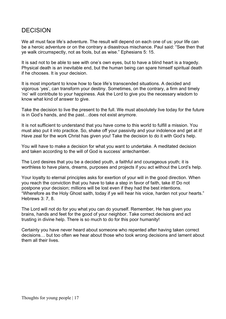## DECISION

We all must face life's adventure. The result will depend on each one of us: your life can be a heroic adventure or on the contrary a disastrous mischance. Paul said: "See then that ye walk circumspectly, not as fools, but as wise." Ephesians 5: 15.

It is sad not to be able to see with one's own eyes, but to have a blind heart is a tragedy. Physical death is an inevitable end, but the human being can spare himself spiritual death if he chooses. It is your decision.

It is most important to know how to face life's transcended situations. A decided and vigorous 'yes', can transform your destiny. Sometimes, on the contrary, a firm and timely 'no' will contribute to your happiness. Ask the Lord to give you the necessary wisdom to know what kind of answer to give.

Take the decision to live the present to the full. We must absolutely live today for the future is in God's hands, and the past…does not exist anymore.

It is not sufficient to understand that you have come to this world to fulfill a mission. You must also put it into practice. So, shake off your passivity and your indolence and get at it! Have zeal for the work Christ has given you! Take the decision to do it with God's help.

You will have to make a decision for what you want to undertake. A meditated decision and taken according to the will of God is success' antechamber.

The Lord desires that you be a decided youth, a faithful and courageous youth; it is worthless to have plans, dreams, purposes and projects if you act without the Lord's help.

Your loyalty to eternal principles asks for exertion of your will in the good direction. When you reach the conviction that you have to take a step in favor of faith, take it! Do not postpone your decision; millions will be lost even if they had the best intentions. "Wherefore as the Holy Ghost saith, today if ye will hear his voice, harden not your hearts." Hebrews 3: 7, 8.

The Lord will not do for you what you can do yourself. Remember, He has given you brains, hands and feet for the good of your neighbor. Take correct decisions and act trusting in divine help. There is so much to do for this poor humanity!

Certainly you have never heard about someone who repented after having taken correct decisions… but too often we hear about those who took wrong decisions and lament about them all their lives.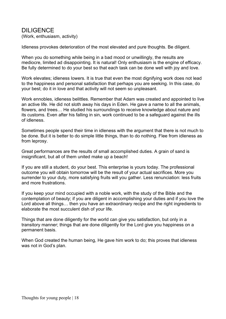# DILIGENCE

(Work, enthusiasm, activity)

Idleness provokes deterioration of the most elevated and pure thoughts. Be diligent.

When you do something while being in a bad mood or unwillingly, the results are mediocre, limited ad disappointing. It is natural! Only enthusiasm is the engine of efficacy. Be fully determined to do your best so that each task can be done well with joy and love.

Work elevates; idleness lowers. It is true that even the most dignifying work does not lead to the happiness and personal satisfaction that perhaps you are seeking. In this case, do your best; do it in love and that activity will not seem so unpleasant.

Work ennobles, idleness belittles. Remember that Adam was created and appointed to live an active life. He did not sloth away his days in Eden. He gave a name to all the animals, flowers, and trees… He studied his surroundings to receive knowledge about nature and its customs. Even after his falling in sin, work continued to be a safeguard against the ills of idleness.

Sometimes people spend their time in idleness with the argument that there is not much to be done. But it is better to do simple little things, than to do nothing. Flee from idleness as from leprosy.

Great performances are the results of small accomplished duties. A grain of sand is insignificant, but all of them united make up a beach!

If you are still a student, do your best. This enterprise is yours today. The professional outcome you will obtain tomorrow will be the result of your actual sacrifices. More you surrender to your duty, more satisfying fruits will you gather. Less renunciation: less fruits and more frustrations.

If you keep your mind occupied with a noble work, with the study of the Bible and the contemplation of beauty; if you are diligent in accomplishing your duties and if you love the Lord above all things… then you have an extraordinary recipe and the right ingredients to elaborate the most succulent dish of your life.

Things that are done diligently for the world can give you satisfaction, but only in a transitory manner; things that are done diligently for the Lord give you happiness on a permanent basis.

When God created the human being, He gave him work to do; this proves that idleness was not in God's plan.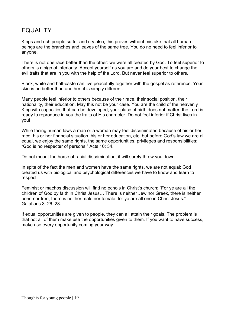## **EQUALITY**

Kings and rich people suffer and cry also, this proves without mistake that all human beings are the branches and leaves of the same tree. You do no need to feel inferior to anyone.

There is not one race better than the other: we were all created by God. To feel superior to others is a sign of inferiority. Accept yourself as you are and do your best to change the evil traits that are in you with the help of the Lord. But never feel superior to others.

Black, white and half-caste can live peacefully together with the gospel as reference. Your skin is no better than another, it is simply different.

Many people feel inferior to others because of their race, their social position, their nationality, their education. May this not be your case. You are the child of the heavenly King with capacities that can be developed; your place of birth does not matter, the Lord is ready to reproduce in you the traits of His character. Do not feel inferior if Christ lives in you!

While facing human laws a man or a woman may feel discriminated because of his or her race, his or her financial situation, his or her education, etc. but before God's law we are all equal, we enjoy the same rights, the same opportunities, privileges and responsibilities: "God is no respecter of persons." Acts 10: 34.

Do not mount the horse of racial discrimination, it will surely throw you down.

In spite of the fact the men and women have the same rights, we are not equal; God created us with biological and psychological differences we have to know and learn to respect.

Feminist or machos discussion will find no echo's in Christ's church: "For ye are all the children of God by faith in Christ Jesus… There is neither Jew nor Greek, there is neither bond nor free, there is neither male nor female: for ye are all one in Christ Jesus." Galatians 3: 26, 28.

If equal opportunities are given to people, they can all attain their goals. The problem is that not all of them make use the opportunities given to them. If you want to have success, make use every opportunity coming your way.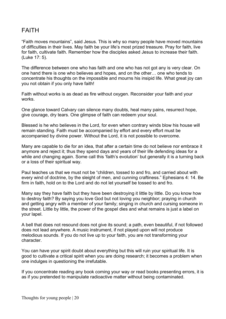## FAITH

"Faith moves mountains", said Jesus. This is why so many people have moved mountains of difficulties in their lives. May faith be your life's most prized treasure. Pray for faith, live for faith, cultivate faith. Remember how the disciples asked Jesus to increase their faith. (Luke 17: 5).

The difference between one who has faith and one who has not got any is very clear. On one hand there is one who believes and hopes, and on the other… one who tends to concentrate his thoughts on the impossible and mourns his insipid life. What great joy can you not obtain if you only have faith!

Faith without works is as dead as fire without oxygen. Reconsider your faith and your works.

One glance toward Calvary can silence many doubts, heal many pains, resurrect hope, give courage, dry tears. One glimpse of faith can redeem your soul.

Blessed is he who believes in the Lord, for even when contrary winds blow his house will remain standing. Faith must be accompanied by effort and every effort must be accompanied by divine power. Without the Lord, it is not possible to overcome.

Many are capable to die for an idea, that after a certain time do not believe nor embrace it anymore and reject it; thus they spend days and years of their life defending ideas for a while and changing again. Some call this 'faith's evolution' but generally it is a turning back or a loss of their spiritual way.

Paul teaches us that we must not be "children, tossed to and fro, and carried about with every wind of doctrine, by the sleight of men, and cunning craftiness." Ephesians 4: 14. Be firm in faith, hold on to the Lord and do not let yourself be tossed to and fro.

Many say they have faith but they have been destroying it little by little. Do you know how to destroy faith? By saying you love God but not loving you neighbor; praying in church and getting angry with a member of your family; singing in church and cursing someone in the street. Little by little, the power of the gospel dies and what remains is just a label on your lapel.

A bell that does not resound does not give its sound; a path, even beautiful, if not followed does not lead anywhere. A music instrument, if not played upon will not produce melodious sounds. If you do not live up to your faith, you are not transforming your character.

You can have your spirit doubt about everything but this will ruin your spiritual life. It is good to cultivate a critical spirit when you are doing research; it becomes a problem when one indulges in questioning the irrefutable.

If you concentrate reading any book coming your way or read books presenting errors, it is as if you pretended to manipulate radioactive matter without being contaminated.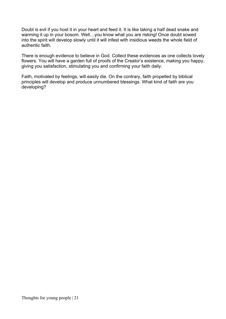Doubt is evil if you host it in your heart and feed it. It is like taking a half dead snake and warming it up in your bosom. Well…you know what you are risking! Once doubt sowed into the spirit will develop slowly until it will infest with insidious weeds the whole field of authentic faith.

There is enough evidence to believe in God. Collect these evidences as one collects lovely flowers. You will have a garden full of proofs of the Creator's existence, making you happy, giving you satisfaction, stimulating you and confirming your faith daily.

Faith, motivated by feelings, will easily die. On the contrary, faith propelled by biblical principles will develop and produce unnumbered blessings. What kind of faith are you developing?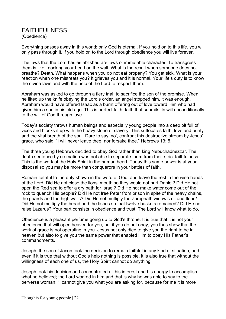#### FAITHFULNESS (Obedience)

Everything passes away in this world; only God is eternal. If you hold on to this life, you will only pass through it, if you hold on to the Lord through obedience you will live forever.

The laws that the Lord has established are laws of immutable character. To transgress them is like knocking your head on the wall. What is the result when someone does not breathe? Death. What happens when you do not eat properly? You get sick. What is your reaction when one mistreats you? It grieves you and it is normal. Your life's duty is to know the divine laws and with the help of the Lord to respect them.

Abraham was asked to go through a fiery trial: to sacrifice the son of the promise. When he lifted up the knife obeying the Lord's order, an angel stopped him, it was enough. Abraham would have offered Isaac as a burnt offering out of love toward Him who had given him a son in his old age. This is perfect faith: faith that submits its will unconditionally to the will of God through love.

Today's society throws human beings and especially young people into a deep pit full of vices and blocks it up with the heavy stone of slavery. This suffocates faith, love and purity and the vital breath of the soul. Dare to say 'no', confront this destructive stream by Jesus' grace, who said: "I will never leave thee, nor forsake thee." Hebrews 13: 5.

The three young Hebrews decided to obey God rather than king Nebuchadnezzar. The death sentence by cremation was not able to separate them from their strict faithfulness. This is the work of the Holy Spirit in the human heart. Today this same power is at your disposal so you may be more than conquerors in your battles of faith.

Remain faithful to the duty shown in the word of God, and leave the rest in the wise hands of the Lord. Did He not close the lions' mouth so they would not hurt Daniel? Did He not open the Red sea to offer a dry path for Israel? Did He not make water come out of the rock to quench His people? Did He not free Peter from prison in spite of the heavy chains, the guards and the high walls? Did He not multiply the Zarephath widow's oil and flour? Did He not multiply the bread and the fishes so that twelve baskets remained? Did He not raise Lazarus? Your part consists in obedience and trust. The Lord will know what to do.

Obedience is a pleasant perfume going up to God's throne. It is true that it is not your obedience that will open heaven for you, but if you do not obey, you thus show that the work of grace is not operating in you. Jesus not only died to give you the right to be in heaven but also to give you the same power that enabled Him to obey His Father's commandments.

Joseph, the son of Jacob took the decision to remain faithful in any kind of situation; and even if it is true that without God's help nothing is possible, it is also true that without the willingness of each one of us, the Holy Spirit cannot do anything.

Joseph took his decision and concentrated all his interest and his energy to accomplish what he believed; the Lord worked in him and that is why he was able to say to the perverse woman: "I cannot give you what you are asking for, because for me it is more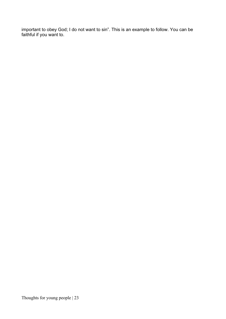important to obey God; I do not want to sin". This is an example to follow. You can be faithful if you want to.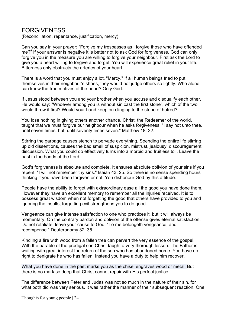#### FORGIVENESS

(Reconciliation, repentance, justification, mercy)

Can you say in your prayer: "Forgive my trespasses as I forgive those who have offended me?" If your answer is negative it is better not to ask God for forgiveness. God can only forgive you in the measure you are willing to forgive your neighbour. First ask the Lord to give you a heart willing to forgive and forget. You will experience great relief in your life. Bitterness only obstructs the arteries of your heart.

There is a word that you must enjoy a lot, "Mercy." If all human beings tried to put themselves in their neighbour's shoes, they would not judge others so lightly. Who alone can know the true motives of the heart? Only God.

If Jesus stood between you and your brother when you accuse and disqualify each other, He would say: "Whoever among you is without sin cast the first stone", which of the two would throw it first? Would your hand keep on clinging to the stone of hatred?

You lose nothing in giving others another chance. Christ, the Redeemer of the world, taught that we must forgive our neighbour when he asks forgiveness: "I say not unto thee, until seven times: but, until seventy times seven." Matthew 18: 22.

Stirring the garbage causes stench to pervade everything. Spending the entire life stirring up old dissentions, causes the bad smell of suspicion, mistrust, jealousy, discouragement, discussion. What you could do effectively turns into a morbid and fruitless toil. Leave the past in the hands of the Lord.

God's forgiveness is absolute and complete. It ensures absolute oblivion of your sins if you repent, "I will not remember thy sins." Isaiah 43: 25. So there is no sense spending hours thinking if you have been forgiven or not. You dishonour God by this attitude.

People have the ability to forget with extraordinary ease all the good you have done them. However they have an excellent memory to remember all the injuries received. It is to possess great wisdom when not forgetting the good that others have provided to you and ignoring the insults; forgetting evil strengthens you to do good.

Vengeance can give intense satisfaction to one who practices it, but it will always be momentary. On the contrary pardon and oblivion of the offense gives eternal satisfaction. Do not retaliate, leave your cause to God: "To me belongeth vengeance, and recompense." Deuteronomy 32: 35.

Kindling a fire with wood from a fallen tree can pervert the very essence of the gospel. With the parable of the prodigal son Christ taught a very thorough lesson: The Father is waiting with great interest the return of the son who has abandoned home. You have no right to denigrate he who has fallen. Instead you have a duty to help him recover.

What you have done in the past marks you as the chisel engraves wood or metal. But there is no mark so deep that Christ cannot repair with His perfect justice.

The difference between Peter and Judas was not so much in the nature of their sin, for what both did was very serious. It was rather the manner of their subsequent reaction. One

Thoughts for young people | 24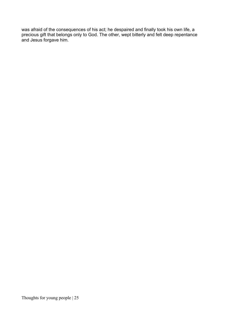was afraid of the consequences of his act; he despaired and finally took his own life, a precious gift that belongs only to God. The other, wept bitterly and felt deep repentance and Jesus forgave him.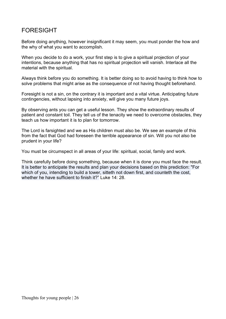## FORESIGHT

Before doing anything, however insignificant it may seem, you must ponder the how and the why of what you want to accomplish.

When you decide to do a work, your first step is to give a spiritual projection of your intentions, because anything that has no spiritual projection will vanish. Interlace all the material with the spiritual.

Always think before you do something. It is better doing so to avoid having to think how to solve problems that might arise as the consequence of not having thought beforehand.

Foresight is not a sin, on the contrary it is important and a vital virtue. Anticipating future contingencies, without lapsing into anxiety, will give you many future joys.

By observing ants you can get a useful lesson. They show the extraordinary results of patient and constant toil. They tell us of the tenacity we need to overcome obstacles, they teach us how important it is to plan for tomorrow.

The Lord is farsighted and we as His children must also be. We see an example of this from the fact that God had foreseen the terrible appearance of sin. Will you not also be prudent in your life?

You must be circumspect in all areas of your life: spiritual, social, family and work.

Think carefully before doing something, because when it is done you must face the result. It is better to anticipate the results and plan your decisions based on this prediction: "For which of you, intending to build a tower, sitteth not down first, and counteth the cost. whether he have sufficient to finish it?" Luke 14: 28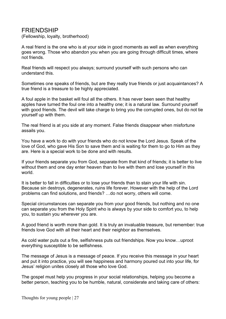#### FRIENDSHIP

(Fellowship, loyalty, brotherhood)

A real friend is the one who is at your side in good moments as well as when everything goes wrong. Those who abandon you when you are going through difficult times, where not friends.

Real friends will respect you always; surround yourself with such persons who can understand this.

Sometimes one speaks of friends, but are they really true friends or just acquaintances? A true friend is a treasure to be highly appreciated.

A foul apple in the basket will foul all the others. It has never been seen that healthy apples have turned the foul one into a healthy one; it is a natural law. Surround yourself with good friends. The devil will take charge to bring you the corrupted ones, but do not tie yourself up with them.

The real friend is at you side at any moment. False friends disappear when misfortune assails you.

You have a work to do with your friends who do not know the Lord Jesus. Speak of the love of God, who gave His Son to save them and is waiting for them to go to Him as they are. Here is a special work to be done and with results.

If your friends separate you from God, separate from that kind of friends; it is better to live without them and one day enter heaven than to live with them and lose yourself in this world.

It is better to fall in difficulties or to lose your friends than to stain your life with sin. Because sin destroys, degenerates, ruins life forever. However with the help of the Lord problems can find solutions, and friends? …do not worry, others will come.

Special circumstances can separate you from your good friends, but nothing and no one can separate you from the Holy Spirit who is always by your side to comfort you, to help you, to sustain you wherever you are.

A good friend is worth more than gold. It is truly an invaluable treasure, but remember: true friends love God with all their heart and their neighbor as themselves.

As cold water puts out a fire, selfishness puts out friendships. Now you know…uproot everything susceptible to be selfishness.

The message of Jesus is a message of peace. If you receive this message in your heart and put it into practice, you will see happiness and harmony poured out into your life, for Jesus' religion unites closely all those who love God.

The gospel must help you progress in your social relationships, helping you become a better person, teaching you to be humble, natural, considerate and taking care of others: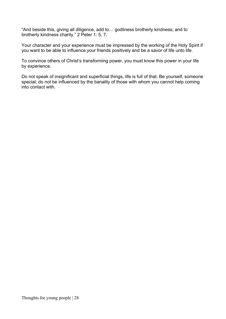"And beside this, giving all diligence, add to… godliness brotherly kindness; and to brotherly kindness charity." 2 Peter 1: 5, 7.

Your character and your experience must be impressed by the working of the Holy Spirit if you want to be able to influence your friends positively and be a savor of life unto life.

To convince others of Christ's transforming power, you must know this power in your life by experience.

Do not speak of insignificant and superficial things, life is full of that. Be yourself, someone special; do not be influenced by the banality of those with whom you cannot help coming into contact with.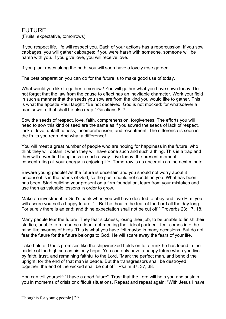#### FUTURE

(Fruits, expectative, tomorrows)

If you respect life, life will respect you. Each of your actions has a repercussion. If you sow cabbages, you will gather cabbages; if you were harsh with someone, someone will be harsh with you. If you give love, you will receive love.

If you plant roses along the path, you will soon have a lovely rose garden.

The best preparation you can do for the future is to make good use of today.

What would you like to gather tomorrow? You will gather what you have sown today. Do not forget that the law from the cause to effect has an inevitable character. Work your field in such a manner that the seeds you sow are from the kind you would like to gather. This is what the apostle Paul taught: "Be not deceived; God is not mocked: for whatsoever a man soweth, that shall he also reap." Galatians 6: 7.

Sow the seeds of respect, love, faith, comprehension, forgiveness. The efforts you will need to sow this kind of seed are the same as if you sowed the seeds of lack of respect, lack of love, unfaithfulness, incomprehension, and resentment. The difference is seen in the fruits you reap. And what a difference!

You will meet a great number of people who are hoping for happiness in the future, who think they will obtain it when they will have done such and such a thing. This is a trap and they will never find happiness in such a way. Live today, the present moment concentrating all your energy in enjoying life. Tomorrow is as uncertain as the next minute.

Beware young people! As the future is uncertain and you should not worry about it because it is in the hands of God, so the past should not condition you. What has been has been. Start building your present on a firm foundation, learn from your mistakes and use then as valuable lessons in order to grow.

Make an investment in God's bank when you will have decided to obey and love Him, you will assure yourself a happy future: "...But be thou in the fear of the Lord all the day long. For surely there is an end; and thine expectation shall not be cut off." Proverbs 23: 17, 18.

Many people fear the future. They fear sickness, losing their job, to be unable to finish their studies, unable to reimburse a loan, not meeting their ideal partner…fear comes into the mind like swarms of birds. This is what you have felt maybe in many occasions. But do not fear the future for the future belongs to God. He will scare away the fears of your life.

Take hold of God's promises like the shipwrecked holds on to a trunk he has found in the middle of the high sea as his only hope. You can only have a happy future when you live by faith, trust, and remaining faithful to the Lord. "Mark the perfect man, and behold the upright: for the end of that man is peace. But the transgressors shall be destroyed together: the end of the wicked shall be cut off." Psalm 37: 37, 38.

You can tell yourself: "I have a good future". Trust that the Lord will help you and sustain you in moments of crisis or difficult situations. Repeat and repeat again: "With Jesus I have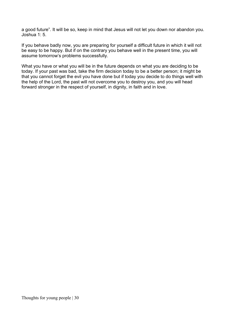a good future". It will be so, keep in mind that Jesus will not let you down nor abandon you. Joshua 1: 5.

If you behave badly now, you are preparing for yourself a difficult future in which it will not be easy to be happy. But if on the contrary you behave well in the present time, you will assume tomorrow's problems successfully.

What you have or what you will be in the future depends on what you are deciding to be today. If your past was bad, take the firm decision today to be a better person; it might be that you cannot forget the evil you have done but if today you decide to do things well with the help of the Lord, the past will not overcome you to destroy you, and you will head forward stronger in the respect of yourself, in dignity, in faith and in love.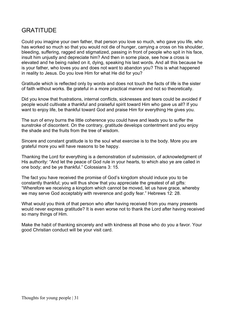## **GRATITUDE**

Could you imagine your own father, that person you love so much, who gave you life, who has worked so much so that you would not die of hunger, carrying a cross on his shoulder, bleeding, suffering, ragged and stigmatized, passing in front of people who spit in his face, insult him unjustly and depreciate him? And then in some place, see how a cross is elevated and he being nailed on it, dying, speaking his last words. And all this because he is your father, who loves you and does not want to abandon you? This is what happened in reality to Jesus. Do you love Him for what He did for you?

Gratitude which is reflected only by words and does not touch the facts of life is the sister of faith without works. Be grateful in a more practical manner and not so theoretically.

Did you know that frustrations, internal conflicts, sicknesses and tears could be avoided if people would cultivate a thankful and praiseful spirit toward Him who gave us all? If you want to enjoy life, be thankful toward God and praise Him for everything He gives you.

The sun of envy burns the little coherence you could have and leads you to suffer the sunstroke of discontent. On the contrary, gratitude develops contentment and you enjoy the shade and the fruits from the tree of wisdom.

Sincere and constant gratitude is to the soul what exercise is to the body. More you are grateful more you will have reasons to be happy.

Thanking the Lord for everything is a demonstration of submission, of acknowledgment of His authority: "And let the peace of God rule in your hearts, to which also ye are called in one body; and be ye thankful." Colossians 3: 15.

The fact you have received the promise of God's kingdom should induce you to be constantly thankful; you will thus show that you appreciate the greatest of all gifts: "Wherefore we receiving a kingdom which cannot be moved, let us have grace, whereby we may serve God acceptably with reverence and godly fear." Hebrews 12: 28.

What would you think of that person who after having received from you many presents would never express gratitude? It is even worse not to thank the Lord after having received so many things of Him.

Make the habit of thanking sincerely and with kindness all those who do you a favor. Your good Christian conduct will be your visit card.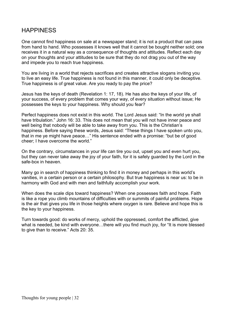# **HAPPINESS**

One cannot find happiness on sale at a newspaper stand; it is not a product that can pass from hand to hand. Who possesses it knows well that it cannot be bought neither sold; one receives it in a natural way as a consequence of thoughts and attitudes. Reflect each day on your thoughts and your attitudes to be sure that they do not drag you out of the way and impede you to reach true happiness.

You are living in a world that rejects sacrifices and creates attractive slogans inviting you to live an easy life. True happiness is not found in this manner, it could only be deceptive. True happiness is of great value. Are you ready to pay the price?

Jesus has the keys of death (Revelation 1: 17, 18). He has also the keys of your life, of your success, of every problem that comes your way, of every situation without issue; He possesses the keys to your happiness. Why should you fear?

Perfect happiness does not exist in this world. The Lord Jesus said: "In the world ye shall have tribulation." John 16: 33. This does not mean that you will not have inner peace and well being that nobody will be able to take away from you. This is the Christian's happiness. Before saying these words, Jesus said: "These things I have spoken unto you, that in me ye might have peace…" His sentence ended with a promise: "but be of good cheer; I have overcome the world."

On the contrary, circumstances in your life can tire you out, upset you and even hurt you, but they can never take away the joy of your faith, for it is safely guarded by the Lord in the safe-box in heaven.

Many go in search of happiness thinking to find it in money and perhaps in this world's vanities, in a certain person or a certain philosophy. But true happiness is near us: to be in harmony with God and with men and faithfully accomplish your work.

When does the scale dips toward happiness? When one possesses faith and hope. Faith is like a rope you climb mountains of difficulties with or summits of painful problems. Hope is the air that gives you life in those heights where oxygen is rare. Believe and hope this is the key to your happiness.

Turn towards good: do works of mercy, uphold the oppressed, comfort the afflicted, give what is needed, be kind with everyone…there will you find much joy, for "It is more blessed to give than to receive." Acts 20: 35.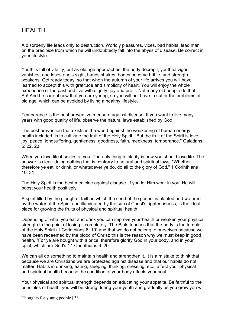### HEALTH

A disorderly life leads only to destruction. Worldly pleasures, vices, bad habits, lead man on the precipice from which he will undoubtedly fall into the abyss of disease. Be correct in your lifestyle.

Youth is full of vitality, but as old age approaches, the body decrepit, youthful vigour vanishes, one loses one's sight, hands shakes, bones become brittle, and strength weakens. Get ready today, so that when the autumn of your life arrives you will have learned to accept this with gratitude and simplicity of heart. You will enjoy the whole experience of the past and live with dignity, joy and profit. Not many old people do that. Ah! And be careful now that you are young, so you will not have to suffer the problems of old age, which can be avoided by living a healthy lifestyle.

Temperance is the best preventive measure against disease. If you want to live many years with good quality of life, observe the natural laws established by God.

The best prevention that exists in the world against the weakening of human energy, health included, is to cultivate the fruit of the Holy Spirit: "But the fruit of the Spirit is love, joy, peace, longsuffering, gentleness, goodness, faith, meekness, temperance." Galatians 5: 22, 23.

When you love life it smiles at you. The only thing to clarify is how you should love life. The answer is clear: doing nothing that is contrary to natural and spiritual laws: "Whether therefore ye eat, or drink, or whatsoever ye do, do all to the glory of God." 1 Corinthians 10: 31.

The Holy Spirit is the best medicine against disease. If you let Him work in you, He will boost your health positively.

A spirit tilled by the plough of faith in which the seed of the gospel is planted and watered by the water of the Spirit and illuminated by the sun of Christ's righteousness, is the ideal place for growing the fruits of physical and spiritual health.

Depending of what you eat and drink you can improve your health or weaken your physical strength to the point of losing it completely. The Bible teaches that the body is the temple of the Holy Spirit (1 Corinthians 6: 19) and that we do not belong to ourselves because we have been redeemed by the blood of Christ; this is the reason why we must keep in good health, "For ye are bought with a price: therefore glorify God in your body, and in your spirit, which are God's." 1 Corinthians 6: 20.

We can all do something to maintain health and strengthen it. It is a mistake to think that because we are Christians we are protected against disease and that our habits do not matter. Habits in drinking, eating, sleeping, thinking, dressing, etc., affect your physical and spiritual health because the condition of your body affects your soul.

Your physical and spiritual strength depends on educating your appetite. Be faithful to the principles of health, you will be strong during your youth and gradually as you grow you will

Thoughts for young people | 33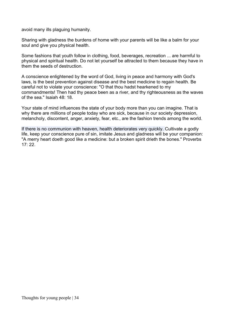avoid many ills plaguing humanity.

Sharing with gladness the burdens of home with your parents will be like a balm for your soul and give you physical health.

Some fashions that youth follow in clothing, food, beverages, recreation ... are harmful to physical and spiritual health. Do not let yourself be attracted to them because they have in them the seeds of destruction.

A conscience enlightened by the word of God, living in peace and harmony with God's laws, is the best prevention against disease and the best medicine to regain health. Be careful not to violate your conscience: "O that thou hadst hearkened to my commandments! Then had thy peace been as a river, and thy righteousness as the waves of the sea." Isaiah 48: 18.

Your state of mind influences the state of your body more than you can imagine. That is why there are millions of people today who are sick, because in our society depression, melancholy, discontent, anger, anxiety, fear, etc., are the fashion trends among the world.

If there is no communion with heaven, health deteriorates very quickly. Cultivate a godly life, keep your conscience pure of sin, imitate Jesus and gladness will be your companion: "A merry heart doeth good like a medicine: but a broken spirit drieth the bones." Proverbs  $17:22.$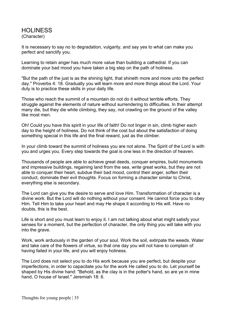#### HOLINESS (Character)

It is necessary to say no to degradation, vulgarity, and say yes to what can make you perfect and sanctify you.

Learning to retain anger has much more value than building a cathedral. If you can dominate your bad mood you have taken a big step on the path of holiness.

"But the path of the just is as the shining light, that shineth more and more unto the perfect day." Proverbs 4: 18. Gradually you will learn more and more things about the Lord. Your duty is to practice these skills in your daily life.

Those who reach the summit of a mountain do not do it without terrible efforts. They struggle against the elements of nature without surrendering to difficulties. In their attempt many die, but they die while climbing, they say, not crawling on the ground of the valley like most men.

Oh! Could you have this spirit in your life of faith! Do not linger in sin, climb higher each day to the height of holiness. Do not think of the cost but about the satisfaction of doing something special in this life and the final reward, just as the climber.

In your climb toward the summit of holiness you are not alone. The Spirit of the Lord is with you and urges you. Every step towards the goal is one less in the direction of heaven.

Thousands of people are able to achieve great deeds, conquer empires, build monuments and impressive buildings, regaining land from the sea, write great works, but they are not able to conquer their heart, subdue their bad mood, control their anger, soften their conduct, dominate their evil thoughts. Focus on forming a character similar to Christ, everything else is secondary.

The Lord can give you the desire to serve and love Him. Transformation of character is a divine work. But the Lord will do nothing without your consent. He cannot force you to obey Him. Tell Him to take your heart and may He shape it according to His will. Have no doubts, this is the best.

Life is short and you must learn to enjoy it. I am not talking about what might satisfy your senses for a moment, but the perfection of character, the only thing you will take with you into the grave.

Work, work arduously in the garden of your soul. Work the soil, extirpate the weeds. Water and take care of the flowers of virtue, so that one day you will not have to complain of having failed in your life, and you will enjoy holiness.

The Lord does not select you to do His work because you are perfect, but despite your imperfections, in order to capacitate you for the work He called you to do. Let yourself be shaped by His divine hand: "Behold, as the clay is in the potter's hand, so are ye in mine hand, O house of Israel." Jeremiah 18: 6.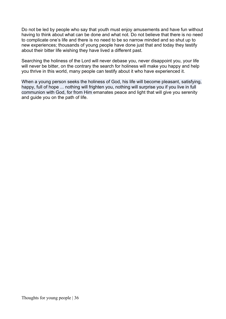Do not be led by people who say that youth must enjoy amusements and have fun without having to think about what can be done and what not. Do not believe that there is no need to complicate one's life and there is no need to be so narrow minded and so shut up to new experiences; thousands of young people have done just that and today they testify about their bitter life wishing they have lived a different past.

Searching the holiness of the Lord will never debase you, never disappoint you, your life will never be bitter, on the contrary the search for holiness will make you happy and help you thrive in this world, many people can testify about it who have experienced it.

When a young person seeks the holiness of God, his life will become pleasant, satisfying, happy, full of hope ... nothing will frighten you, nothing will surprise you if you live in full communion with God, for from Him emanates peace and light that will give you serenity and guide you on the path of life.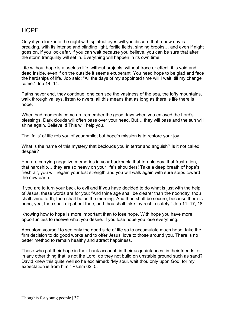## **HOPF**

Only if you look into the night with spiritual eyes will you discern that a new day is breaking, with its intense and blinding light, fertile fields, singing brooks… and even if night goes on, if you look afar, if you can wait because you believe, you can be sure that after the storm tranquility will set in. Everything will happen in its own time.

Life without hope is a useless life, without projects, without trace or effect; it is void and dead inside, even if on the outside it seems exuberant. You need hope to be glad and face the hardships of life. Job said: "All the days of my appointed time will I wait, till my change come." Job 14: 14.

Paths never end, they continue; one can see the vastness of the sea, the lofty mountains, walk through valleys, listen to rivers, all this means that as long as there is life there is hope.

When bad moments come up, remember the good days when you enjoyed the Lord's blessings. Dark clouds will often pass over your head. But… they will pass and the sun will shine again. Believe it! This will help you.

The 'falls' of life rob you of your smile; but hope's mission is to restore your joy.

What is the name of this mystery that beclouds you in terror and anguish? Is it not called despair?

You are carrying negative memories in your backpack: that terrible day, that frustration, that hardship… they are so heavy on your life's shoulders! Take a deep breath of hope's fresh air, you will regain your lost strength and you will walk again with sure steps toward the new earth

If you are to turn your back to evil and if you have decided to do what is just with the help of Jesus, these words are for you: "And thine age shall be clearer than the noonday; thou shalt shine forth, thou shalt be as the morning. And thou shalt be secure, because there is hope; yea, thou shalt dig about thee, and thou shalt take thy rest in safety." Job 11: 17, 18.

Knowing how to hope is more important than to lose hope. With hope you have more opportunities to receive what you desire. If you lose hope you lose everything.

Accustom yourself to see only the good side of life so to accumulate much hope; take the firm decision to do good works and to offer Jesus' love to those around you. There is no better method to remain healthy and attract happiness.

Those who put their hope in their bank account, in their acquaintances, in their friends, or in any other thing that is not the Lord, do they not build on unstable ground such as sand? David knew this quite well so he exclaimed: "My soul, wait thou only upon God; for my expectation is from him." Psalm 62: 5.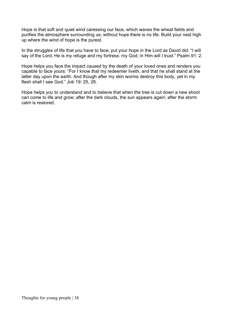Hope is that soft and quiet wind caressing our face, which waves the wheat fields and purifies the atmosphere surrounding us; without hope there is no life. Build your nest high up where the wind of hope is the purest.

In the struggles of life that you have to face, put your hope in the Lord as David did: "I will say of the Lord, He is my refuge and my fortress: my God; in Him will I trust." Psalm 91: 2.

Hope helps you face the impact caused by the death of your loved ones and renders you capable to face yours: "For I know that my redeemer liveth, and that he shall stand at the latter day upon the earth: And though after my skin worms destroy this body, yet in my flesh shall I see God." Job 19: 25, 26.

Hope helps you to understand and to believe that when the tree is cut down a new shoot can come to life and grow; after the dark clouds, the sun appears again; after the storm calm is restored.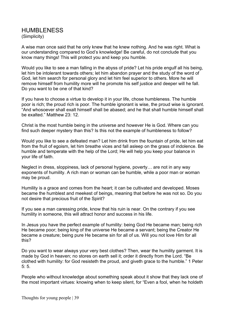#### HUMBLENESS (Simplicity)

A wise man once said that he only knew that he knew nothing. And he was right. What is our understanding compared to God's knowledge! Be careful, do not conclude that you know many things! This will protect you and keep you humble.

Would you like to see a man falling in the abyss of pride? Let his pride engulf all his being, let him be intolerant towards others; let him abandon prayer and the study of the word of God, let him search for personal glory and let him feel superior to others. More he will remove himself from humility more will he promote his self justice and deeper will he fall. Do you want to be one of that kind?

If you have to choose a virtue to develop it in your life, chose humbleness. The humble poor is rich; the proud rich is poor. The humble ignorant is wise, the proud wise is ignorant. "And whosoever shall exalt himself shall be abased; and he that shall humble himself shall be exalted." Matthew 23: 12.

Christ is the most humble being in the universe and however He is God. Where can you find such deeper mystery than this? Is this not the example of humbleness to follow?

Would you like to see a defeated man? Let him drink from the fountain of pride, let him eat from the fruit of egoism, let him breathe vices and fall asleep on the grass of indolence. Be humble and temperate with the help of the Lord; He will help you keep your balance in your life of faith.

Neglect in dress, sloppiness, lack of personal hygiene, poverty… are not in any way exponents of humility. A rich man or woman can be humble, while a poor man or woman may be proud.

Humility is a grace and comes from the heart; it can be cultivated and developed. Moses became the humblest and meekest of beings, meaning that before he was not so. Do you not desire that precious fruit of the Spirit?

If you see a man caressing pride, know that his ruin is near. On the contrary if you see humility in someone, this will attract honor and success in his life.

In Jesus you have the perfect example of humility: being God He became man; being rich He became poor; being king of the universe He became a servant; being the Creator He became a creature; being pure He became sin for all of us. Will you not love Him for all this?

Do you want to wear always your very best clothes? Then, wear the humility garment. It is made by God in heaven; no stores on earth sell it; order it directly from the Lord. "Be clothed with humility: for God resisteth the proud, and giveth grace to the humble." 1 Peter 5: 5.

People who without knowledge about something speak about it show that they lack one of the most important virtues: knowing when to keep silent, for "Even a fool, when he holdeth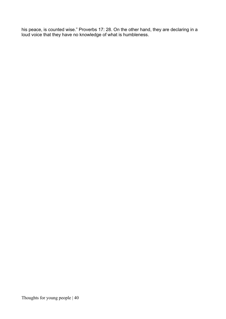his peace, is counted wise." Proverbs 17: 28. On the other hand, they are declaring in a loud voice that they have no knowledge of what is humbleness.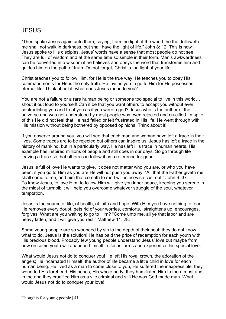# JESUS

"Then spake Jesus again unto them, saying, I am the light of the world: he that followeth me shall not walk in darkness, but shall have the light of life." John 8: 12. This is how Jesus spoke to His disciples. Jesus' words have a sense that most people do not see. They are full of wisdom and at the same time so simple in their form. Man's awkwardness can be converted into wisdom if he believes and obeys the word that transforms him and guides him on the path of truth. Do not forget, Christ is the light of your life.

Christ teaches you to follow Him, for He is the true way. He teaches you to obey His commandments for He is the only truth. He invites you to go to Him for He possesses eternal life. Think about it; what does Jesus mean to you?

You are not a failure or a rare human being or someone too special to live in this world… shout it out loud to yourself! Can it be that you want others to accept you without ever contradicting you and treat you as if you were a god? Jesus who is the author of the universe and was not understood by most people was even rejected and crucified. In spite of this He did not feel that He had failed or felt frustrated in His life; He went through with His mission without being bothered by opposed opinions. Think about it!

If you observe around you, you will see that each man and woman have left a trace in their lives. Some traces are to be rejected but others can inspire us. Jesus has left a trace in the history of mankind, but in a particularly way, He has left His trace in human hearts. His example has inspired millions of people and still does in our days. So go through life leaving a trace so that others can follow it as a reference for good.

Jesus is full of love He wants to give. It does not matter who you are, or who you have been, if you go to Him as you are He will not push you away: "All that the Father giveth me shall come to me; and him that cometh to me I will in no wise cast out." John 6: 37. To know Jesus, to love Him, to follow Him will give you inner peace, keeping you serene in the midst of turmoil; it will help you overcome whatever struggle of the soul, whatever temptation.

Jesus is the source of life, of health, of faith and hope. With Him you have nothing to fear. He removes every doubt, gets rid of your worries, comforts, straightens up, encourages, forgives. What are you waiting to go to Him? "Come unto me, all ye that labor and are heavy laden, and I will give you rest." Matthew 11: 28.

Some young people are so wounded by sin to the depth of their soul; they do not know what to do. Jesus is the solution! He has paid the price of redemption for each youth with His precious blood. Probably few young people understand Jesus' love but maybe from now on some youth will abandon himself in Jesus' arms and experience this special love.

What would Jesus not do to conquer you! He left His royal crown, the adoration of the angels; He incarnated Himself, the author of life became a little child in love for each human being. He lived as a man to come close to you, He suffered the inexpressible, they wounded His forehead, His hands, His whole body; they humiliated Him to the utmost and in the end they crucified Him as a vile criminal and still He was God made man. What would Jesus not do to conquer your love!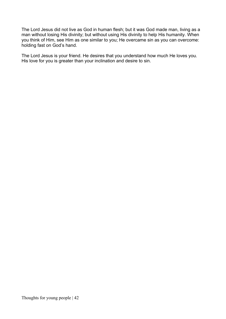The Lord Jesus did not live as God in human flesh; but it was God made man, living as a man without losing His divinity; but without using His divinity to help His humanity. When you think of Him, see Him as one similar to you; He overcame sin as you can overcome: holding fast on God's hand.

The Lord Jesus is your friend. He desires that you understand how much He loves you. His love for you is greater than your inclination and desire to sin.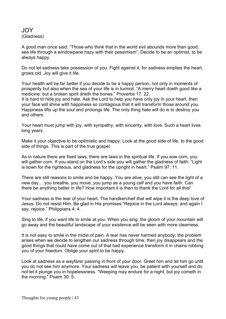#### JOY (Gladness)

A good man once said: "Those who think that in the world evil abounds more than good, see life through a windowpane hazy with their pessimism". Decide to be an optimist, to be always happy.

Do not let sadness take possession of you. Fight against it, for sadness empties the heart, grows old. Joy will give it life.

Your health will be far better if you decide to be a happy person, not only in moments of prosperity but also when the sea of your life is in turmoil. "A merry heart doeth good like a medicine: but a broken spirit drieth the bones." Proverbs 17: 22.

It is hard to hide joy and hate. Ask the Lord to help you have only joy in your heart, then your face will shine with happiness so contagious that it will transform those around you. Happiness lifts up the soul and prolongs life. The only thing hate will do is to destroy you and others.

Your heart must jump with joy, with sympathy, with sincerity, with love. Such a heart lives long years.

Make it your objective to be optimistic and happy. Look at the good side of life, to the good side of things. This is part of the true gospel.

As in nature there are fixed laws, there are laws in the spiritual life. If you sow corn, you will gather corn. If you stand on the Lord's side you will gather the gladness of faith: "Light is sown for the righteous, and gladness for the upright in heart." Psalm 97: 11.

There are still reasons to smile and be happy. You are alive, you still can see the light of a new day… you breathe, you move, you jump as a young calf and you have faith. Can there be anything better in life? How important it is then to thank the Lord for all this!

Your sadness is the tear of your heart. The handkerchief that will wipe it is the deep love of Jesus. Do not resist Him. Be glad in His promises:"Rejoice in the Lord always: and again I say, rejoice." Philippians 4: 4.

Sing to life, if you want life to smile at you. When you sing, the gloom of your mountain will go away and the beautiful landscape of your existence will be seen with more clearness.

It is not easy to smile in the midst of pain. A tear has never harmed anybody; the problem arises when we decide to lengthen our sadness through time, then joy disappears and the good things that could have come out of that bad experience transform it in chains robbing you of your freedom. Oblige your spirit to be happy.

Look at sadness as a wayfarer passing in front of your door. Greet him and let him go until you do not see him anymore. Your sadness will leave you, be patient with yourself and do not let it plunge you in hopelessness. "Weeping may endure for a night, but joy cometh in the morning." Psalm 30: 5.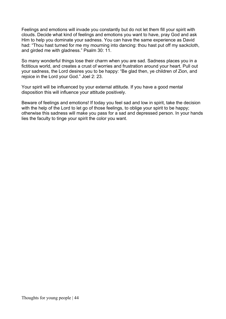Feelings and emotions will invade you constantly but do not let them fill your spirit with clouds. Decide what kind of feelings and emotions you want to have, pray God and ask Him to help you dominate your sadness. You can have the same experience as David had: "Thou hast turned for me my mourning into dancing: thou hast put off my sackcloth, and girded me with gladness." Psalm 30: 11.

So many wonderful things lose their charm when you are sad. Sadness places you in a fictitious world, and creates a crust of worries and frustration around your heart. Pull out your sadness, the Lord desires you to be happy: "Be glad then, ye children of Zion, and rejoice in the Lord your God." Joel 2: 23.

Your spirit will be influenced by your external attitude. If you have a good mental disposition this will influence your attitude positively.

Beware of feelings and emotions! If today you feel sad and low in spirit, take the decision with the help of the Lord to let go of those feelings, to oblige your spirit to be happy; otherwise this sadness will make you pass for a sad and depressed person. In your hands lies the faculty to tinge your spirit the color you want.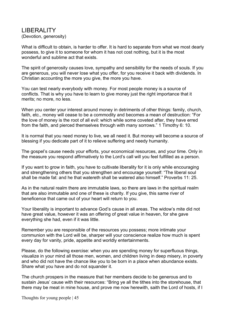#### LIBERALITY (Devotion, generosity)

What is difficult to obtain, is harder to offer. It is hard to separate from what we most dearly possess, to give it to someone for whom it has not cost nothing, but it is the most wonderful and sublime act that exists.

The spirit of generosity causes love, sympathy and sensibility for the needs of souls. If you are generous, you will never lose what you offer, for you receive it back with dividends. In Christian accounting the more you give, the more you have.

You can test nearly everybody with money. For most people money is a source of conflicts. That is why you have to learn to give money just the right importance that it merits; no more, no less.

When you center your interest around money in detriments of other things: family, church, faith, etc., money will cease to be a commodity and becomes a mean of destruction: "For the love of money is the root of all evil: which while some coveted after, they have erred from the faith, and pierced themselves through with many sorrows." 1 Timothy 6: 10.

It is normal that you need money to live, we all need it. But money will become a source of blessing if you dedicate part of it to relieve suffering and needy humanity.

The gospel's cause needs your efforts, your economical resources, and your time. Only in the measure you respond affirmatively to the Lord's call will you feel fulfilled as a person.

If you want to grow in faith, you have to cultivate liberality for it is only while encouraging and strengthening others that you strengthen and encourage yourself: "The liberal soul shall be made fat: and he that watereth shall be watered also himself." Proverbs 11: 25.

As in the natural realm there are immutable laws, so there are laws in the spiritual realm that are also immutable and one of these is charity. If you give, this same river of beneficence that came out of your heart will return to you.

Your liberality is important to advance God's cause in all areas. The widow's mite did not have great value, however it was an offering of great value in heaven, for she gave everything she had, even if it was little.

Remember you are responsible of the resources you possess; more intimate your communion with the Lord will be, sharper will your conscience realize how much is spent every day for vanity, pride, appetite and worldly entertainments.

Please, do the following exercise: when you are spending money for superfluous things, visualize in your mind all those men, women, and children living in deep misery, in poverty and who did not have the chance like you to be born in a place when abundance exists. Share what you have and do not squander it.

The church prospers in the measure that her members decide to be generous and to sustain Jesus' cause with their resources: "Bring ye all the tithes into the storehouse, that there may be meat in mine house, and prove me now herewith, saith the Lord of hosts, if I

Thoughts for young people | 45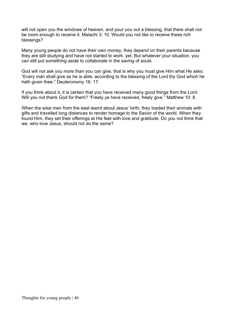will not open you the windows of heaven, and pour you out a blessing, that there shall not be room enough to receive it. Malachi 3: 10. Would you not like to receive these rich blessings?

Many young people do not have their own money, they depend on their parents because they are still studying and have not started to work yet. But whatever your situation, you can still put something aside to collaborate in the saving of souls.

God will not ask you more than you can give, that is why you must give Him what He asks: "Every man shall give as he is able, according to the blessing of the Lord thy God which he hath given thee." Deuteronomy 16: 17.

If you think about it, it is certain that you have received many good things from the Lord. Will you not thank God for them? "Freely ye have received, freely give." Matthew 10: 8.

When the wise men from the east learnt about Jesus' birth, they loaded their animals with gifts and travelled long distances to render homage to the Savior of the world. When they found Him, they set their offerings at His feet with love and gratitude. Do you not think that we, who love Jesus, should not do the same?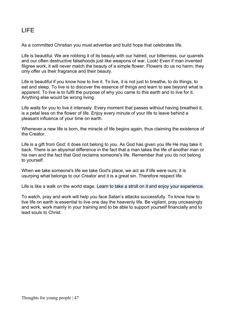# LIFE

As a committed Christian you must advertise and build hope that celebrates life.

Life is beautiful. We are robbing it of its beauty with our hatred, our bitterness, our quarrels and our often destructive falsehoods just like weapons of war. Look! Even if man invented filigree work, it will never match the beauty of a simple flower. Flowers do us no harm; they only offer us their fragrance and their beauty.

Life is beautiful if you know how to live it. To live, it is not just to breathe, to do things, to eat and sleep. To live is to discover the essence of things and learn to see beyond what is apparent. To live is to fulfil the purpose of why you came to this earth and to live for it. Anything else would be wrong living.

Life waits for you to live it intensely. Every moment that passes without having breathed it, is a petal less on the flower of life. Enjoy every minute of your life to leave behind a pleasant influence of your time on earth.

Whenever a new life is born, the miracle of life begins again, thus claiming the existence of the Creator.

Life is a gift from God; it does not belong to you. As God has given you life He may take it back. There is an abysmal difference in the fact that a man takes the life of another man or his own and the fact that God reclaims someone's life. Remember that you do not belong to yourself.

When we take someone's life we take God's place, we act as if life were ours; it is usurping what belongs to our Creator and it is a great sin. Therefore respect life.

Life is like a walk on the world stage. Learn to take a stroll on it and enjoy your experience.

To watch, pray and work will help you face Satan's attacks successfully. To know how to live life on earth is essential to live one day the heavenly life. Be vigilant, pray unceasingly and work, work mainly in your training and to be able to support yourself financially and to lead souls to Christ.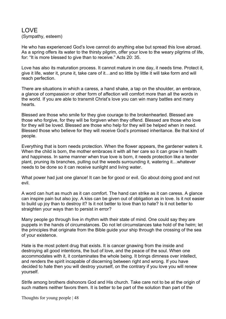### LOVE (Sympathy, esteem)

He who has experienced God's love cannot do anything else but spread this love abroad. As a spring offers its water to the thirsty pilgrim, offer your love to the weary pilgrims of life, for: "It is more blessed to give than to receive." Acts 20: 35.

Love has also its maturation process. It cannot mature in one day, it needs time. Protect it, give it life, water it, prune it, take care of it…and so little by little it will take form and will reach perfection.

There are situations in which a caress, a hand shake, a tap on the shoulder, an embrace, a glance of compassion or other form of affection will comfort more than all the words in the world. If you are able to transmit Christ's love you can win many battles and many hearts.

Blessed are those who smile for they give courage to the brokenhearted. Blessed are those who forgive, for they will be forgiven when they offend. Blessed are those who love for they will be loved. Blessed are those who help for they will be helped when in need. Blessed those who believe for they will receive God's promised inheritance. Be that kind of people.

Everything that is born needs protection. When the flower appears, the gardener waters it. When the child is born, the mother embraces it with all her care so it can grow in health and happiness. In same manner when true love is born, it needs protection like a tender plant, pruning its branches, pulling out the weeds surrounding it, watering it…whatever needs to be done so it can receive sunlight and living water.

What power had just one glance! It can be for good or evil. Go about doing good and not evil.

A word can hurt as much as it can comfort. The hand can strike as it can caress. A glance can inspire pain but also joy. A kiss can be given out of obligation as in love. Is it not easier to build up joy than to destroy it? Is it not better to love than to hate? Is it not better to straighten your ways than to persist in error?

Many people go through live in rhythm with their state of mind. One could say they are puppets in the hands of circumstances. Do not let circumstances take hold of the helm; let the principles that originate from the Bible guide your ship through the crossing of the sea of your existence.

Hate is the most potent drug that exists. It is cancer gnawing from the inside and destroying all good intentions, the bud of love, and the peace of the soul. When one accommodates with it, it contaminates the whole being. It brings dimness over intellect, and renders the spirit incapable of discerning between right and wrong. If you have decided to hate then you will destroy yourself, on the contrary if you love you will renew yourself.

Strife among brothers dishonors God and His church. Take care not to be at the origin of such matters neither favors them. It is better to be part of the solution than part of the

Thoughts for young people | 48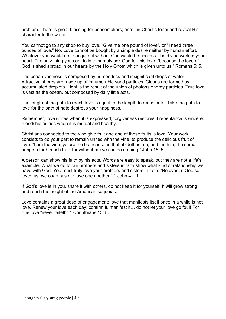problem. There is great blessing for peacemakers; enroll in Christ's team and reveal His character to the world.

You cannot go to any shop to buy love. "Give me one pound of love", or "I need three ounces of love." No. Love cannot be bought by a simple desire neither by human effort. Whatever you would do to acquire it without God would be useless. It is divine work in your heart. The only thing you can do is to humbly ask God for this love: "because the love of God is shed abroad in our hearts by the Holy Ghost which is given unto us." Romans 5: 5.

The ocean vastness is composed by numberless and insignificant drops of water. Attractive shores are made up of innumerable sand particles. Clouds are formed by accumulated droplets. Light is the result of the union of photons energy particles. True love is vast as the ocean, but composed by daily little acts.

The length of the path to reach love is equal to the length to reach hate. Take the path to love for the path of hate destroys your happiness.

Remember, love unites when it is expressed; forgiveness restores if repentance is sincere; friendship edifies when it is mutual and healthy.

Christians connected to the vine give fruit and one of these fruits is love. Your work consists to do your part to remain united with the vine, to produce the delicious fruit of love: "I am the vine, ye are the branches: he that abideth in me, and I in him, the same bringeth forth much fruit: for without me ye can do nothing." John 15: 5.

A person can show his faith by his acts. Words are easy to speak, but they are not a life's example. What we do to our brothers and sisters in faith show what kind of relationship we have with God. You must truly love your brothers and sisters in faith: "Beloved, if God so loved us, we ought also to love one another." 1 John 4: 11.

If God's love is in you, share it with others, do not keep it for yourself. It will grow strong and reach the height of the American sequoias.

Love contains a great dose of engagement; love that manifests itself once in a while is not love. Renew your love each day; confirm it, manifest it… do not let your love go foul! For true love "never faileth" 1 Corinthians 13: 8.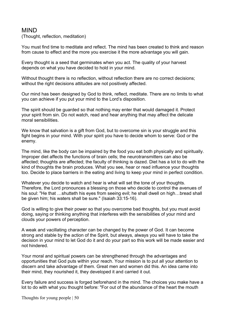### MIND

(Thought, reflection, meditation)

You must find time to meditate and reflect. The mind has been created to think and reason from cause to effect and the more you exercise it the more advantage you will gain.

Every thought is a seed that germinates when you act. The quality of your harvest depends on what you have decided to hold in your mind.

Without thought there is no reflection, without reflection there are no correct decisions; without the right decisions attitudes are not positively affected.

Our mind has been designed by God to think, reflect, meditate. There are no limits to what you can achieve if you put your mind to the Lord's disposition.

The spirit should be guarded so that nothing may enter that would damaged it. Protect your spirit from sin. Do not watch, read and hear anything that may affect the delicate moral sensibilities.

We know that salvation is a gift from God, but to overcome sin is your struggle and this fight begins in your mind. With your spirit you have to decide whom to serve: God or the enemy.

The mind, like the body can be impaired by the food you eat both physically and spiritually. Improper diet affects the functions of brain cells; the neurotransmitters can also be affected; thoughts are affected; the faculty of thinking is dazed. Diet has a lot to do with the kind of thoughts the brain produces. What you see, hear or read influence your thoughts too. Decide to place barriers in the eating and living to keep your mind in perfect condition.

Whatever you decide to watch and hear is what will set the tone of your thoughts. Therefore, the Lord pronounces a blessing on those who decide to control the avenues of his soul: "He that …shutteth his eyes from seeing evil; he shall dwell on high…bread shall be given him; his waters shall be sure." (Isaiah 33:15-16).

God is willing to give their power so that you overcome bad thoughts, but you must avoid doing, saying or thinking anything that interferes with the sensibilities of your mind and clouds your powers of perception.

A weak and vacillating character can be changed by the power of God. It can become strong and stable by the action of the Spirit, but always, always you will have to take the decision in your mind to let God do it and do your part so this work will be made easier and not hindered.

Your moral and spiritual powers can be strengthened through the advantages and opportunities that God puts within your reach. Your mission is to put all your attention to discern and take advantage of them. Great men and women did this. An idea came into their mind, they nourished it, they developed it and carried it out.

Every failure and success is forged beforehand in the mind. The choices you make have a lot to do with what you thought before: "For out of the abundance of the heart the mouth

Thoughts for young people | 50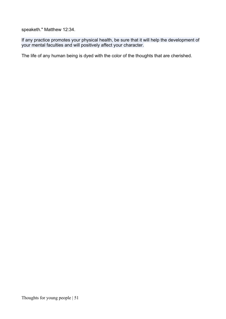speaketh." Matthew 12:34.

If any practice promotes your physical health, be sure that it will help the development of your mental faculties and will positively affect your character.

The life of any human being is dyed with the color of the thoughts that are cherished.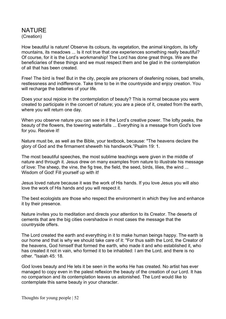### NATURE (Creation)

How beautiful is nature! Observe its colours, its vegetation, the animal kingdom, its lofty mountains, its meadows ... Is it not true that one experiences something really beautiful? Of course, for it is the Lord's workmanship! The Lord has done great things. We are the beneficiaries of these things and we must respect them and be glad in the contemplation of all that has been created.

Free! The bird is free! But in the city, people are prisoners of deafening noises, bad smells, restlessness and indifference. Take time to be in the countryside and enjoy creation. You will recharge the batteries of your life.

Does your soul rejoice in the contemplation of beauty? This is normal because you were created to participate in the concert of nature; you are a piece of it, created from the earth, where you will return one day.

When you observe nature you can see in it the Lord's creative power. The lofty peaks, the beauty of the flowers, the towering waterfalls ... Everything is a message from God's love for you. Receive it!

Nature must be, as well as the Bible, your textbook, because: "The heavens declare the glory of God and the firmament sheweth his handiwork."Psalm 19: 1.

The most beautiful speeches, the most sublime teachings were given in the middle of nature and through it. Jesus drew on many examples from nature to illustrate his message of love: The sheep, the vine, the fig tree, the field, the seed, birds, lilies, the wind ... Wisdom of God! Fill yourself up with it!

Jesus loved nature because it was the work of His hands. If you love Jesus you will also love the work of His hands and you will respect it.

The best ecologists are those who respect the environment in which they live and enhance it by their presence.

Nature invites you to meditation and directs your attention to its Creator. The deserts of cements that are the big cities overshadow in most cases the message that the countryside offers.

The Lord created the earth and everything in it to make human beings happy. The earth is our home and that is why we should take care of it: "For thus saith the Lord, the Creator of the heavens, God himself that formed the earth, who made it and who established it, who has created it not in vain, who formed it to be inhabited: I am the Lord, and there is no other. "Isaiah 45: 18.

God loves beauty and He lets it be seen in the works He has created. No artist has ever managed to copy even in the palest reflexion the beauty of the creation of our Lord. It has no comparison and its contemplation leaves us astonished. The Lord would like to contemplate this same beauty in your character.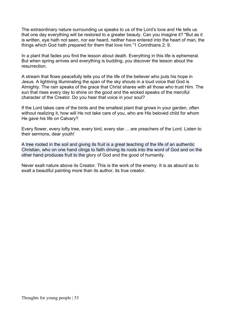The extraordinary nature surrounding us speaks to us of the Lord's love and He tells us that one day everything will be restored to a greater beauty. Can you imagine it? "But as it is written, eye hath not seen, nor ear heard, neither have entered into the heart of man, the things which God hath prepared for them that love him."1 Corinthians 2: 9.

In a plant that fades you find the lesson about death. Everything in this life is ephemeral. But when spring arrives and everything is budding, you discover the lesson about the resurrection.

A stream that flows peacefully tells you of the life of the believer who puts his hope in Jesus. A lightning illuminating the span of the sky shouts in a loud voice that God is Almighty. The rain speaks of the grace that Christ shares with all those who trust Him. The sun that rises every day to shine on the good and the wicked speaks of the merciful character of the Creator. Do you hear that voice in your soul?

If the Lord takes care of the birds and the smallest plant that grows in your garden, often without realizing it, how will He not take care of you, who are His beloved child for whom He gave his life on Calvary?

Every flower, every lofty tree, every bird, every star ... are preachers of the Lord. Listen to their sermons, dear youth!

A tree rooted in the soil and giving its fruit is a great teaching of the life of an authentic Christian, who on one hand clings to faith driving its roots into the word of God and on the other hand produces fruit to the glory of God and the good of humanity.

Never exalt nature above its Creator. This is the work of the enemy. It is as absurd as to exalt a beautiful painting more than its author, its true creator.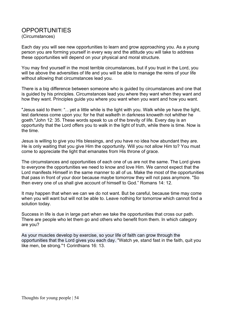### **OPPORTUNITIES**

(Circumstances)

Each day you will see new opportunities to learn and grow approaching you. As a young person you are forming yourself in every way and the attitude you will take to address these opportunities will depend on your physical and moral structure.

You may find yourself in the most terrible circumstances, but if you trust in the Lord, you will be above the adversities of life and you will be able to manage the reins of your life without allowing that circumstances lead you.

There is a big difference between someone who is guided by circumstances and one that is guided by his principles. Circumstances lead you where they want when they want and how they want. Principles guide you where you want when you want and how you want.

"Jesus said to them: "…yet a little while is the light with you. Walk while ye have the light, lest darkness come upon you: for he that walketh in darkness knoweth not whither he goeth."John 12: 35. These words speak to us of the brevity of life. Every day is an opportunity that the Lord offers you to walk in the light of truth, while there is time. Now is the time.

Jesus is willing to give you His blessings, and you have no idea how abundant they are. He is only waiting that you give Him the opportunity. Will you not allow Him to? You must come to appreciate the light that emanates from His throne of grace.

The circumstances and opportunities of each one of us are not the same. The Lord gives to everyone the opportunities we need to know and love Him. We cannot expect that the Lord manifests Himself in the same manner to all of us. Make the most of the opportunities that pass in front of your door because maybe tomorrow they will not pass anymore. "So then every one of us shall give account of himself to God." Romans 14: 12.

It may happen that when we can we do not want. But be careful, because time may come when you will want but will not be able to. Leave nothing for tomorrow which cannot find a solution today.

Success in life is due in large part when we take the opportunities that cross our path. There are people who let them go and others who benefit from them. In which category are you?

As your muscles develop by exercise, so your life of faith can grow through the opportunities that the Lord gives you each day. "Watch ye, stand fast in the faith, quit you like men, be strong."1 Corinthians 16: 13.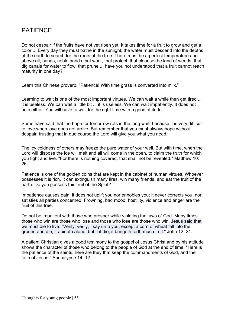## PATIENCE

Do not despair if the fruits have not yet ripen yet. It takes time for a fruit to grow and get a color ... Every day they must bathe in the sunlight, the water must descend into the depths of the earth to search for the roots of the tree. There must be a perfect temperature and above all, hands, noble hands that work, that protect, that cleanse the land of weeds, that dig canals for water to flow, that prune ... have you not understood that a fruit cannot reach maturity in one day?

Learn this Chinese proverb: "Patience! With time grass is converted into milk."

Learning to wait is one of the most important virtues. We can wait a while then get tired ... it is useless. We can wait a little bit ... it is useless. We can wait impatiently. It does not help either. You will have to wait for the right time with a good attitude.

Some have said that the hope for tomorrow rots in the long wait, because it is very difficult to love when love does not arrive. But remember that you must always hope without despair, trusting that in due course the Lord will give you what you need.

The icy coldness of others may freeze the pure water of your well. But with time, when the Lord will dispose the ice will melt and all will come in the open, to claim the truth for which you fight and live. "For there is nothing covered, that shall not be revealed." Matthew 10: 26.

Patience is one of the golden coins that are kept in the cabinet of human virtues. Whoever possesses it is rich. It can extinguish many fires, win many friends, and eat the fruit of the earth. Do you possess this fruit of the Spirit?

Impatience causes pain, it does not uplift you nor ennobles you; it never corrects you, nor satisfies all parties concerned. Frowning, bad mood, hostility, violence and anger are the fruit of this tree.

Do not be impatient with those who prosper while violating the laws of God. Many times those who win are those who lose and those who lose are those who win. Jesus said that we must die to live: "Verily, verily, I say unto you, except a corn of wheat fall into the ground and die, it abideth alone: but if it die, it bringeth forth much fruit." John 12: 24.

A patient Christian gives a good testimony to the gospel of Jesus Christ and by his attitude shows the character of those who belong to the people of God at the end of time. "Here is the patience of the saints: here are they that keep the commandments of God, and the faith of Jesus." Apocalypse 14: 12.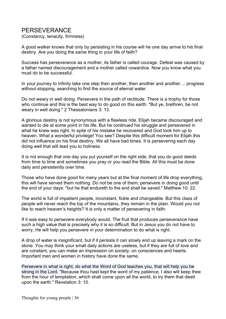### PERSEVERANCE

(Constancy, tenacity, firmness)

A good walker knows that only by persisting in his course will he one day arrive to his final destiny. Are you doing the same thing in your life of faith?

Success has perseverance as a mother, its father is called courage. Defeat was caused by a father named discouragement and a mother called cowardice. Now you know what you must do to be successful.

In your journey to infinity take one step then another, then another and another ... progress without stopping, searching to find the source of eternal water.

Do not weary in well doing. Persevere in the path of rectitude. There is a trophy for those who continue and this is the best way to do good on this earth. "But ye, brethren, be not weary in well doing." 2 Thessalonians 3: 13.

A glorious destiny is not synonymous with a flawless ride. Elijah became discouraged and wanted to die at some point in his life. But he continued his struggle and persevered in what he knew was right. In spite of his mistake he recovered and God took him up to heaven. What a wonderful privilege! You see? Despite this difficult moment for Elijah this did not influence on his final destiny. We all have bad times. It is persevering each day doing well that will lead you to holiness.

It is not enough that one day you put yourself on the right side, that you do good deeds from time to time and sometimes you pray or you read the Bible. All this must be done daily and persistently over time.

Those who have done good for many years but at the final moment of life drop everything, this will have served them nothing. Do not be one of them; persevere in doing good until the end of your days: "but he that endureth to the end shall be saved." Matthew 10: 22.

The world is full of impatient people, inconstant, fickle and changeable. But this class of people will never reach the top of the mountains, they remain in the plain. Would you not like to reach heaven's heights? It is only a matter of persevering in faith.

If it was easy to persevere everybody would. The fruit that produces perseverance have such a high value that is precisely why it is so difficult. But in Jesus you do not have to worry, He will help you persevere in your determination to do what is right.

A drop of water is insignificant, but if it persists it can slowly end up leaving a mark on the stone. You may think your small daily actions are useless, but if they are full of love and are constant, you can make an impression on society, on consciences and hearts. Important men and women in history have done the same.

Persevere in what is right, do what the Word of God teaches you, that will help you be strong in the Lord. "Because thou hast kept the word of my patience, I also will keep thee from the hour of temptation, which shall come upon all the world, to try them that dwell upon the earth." Revelation 3: 10.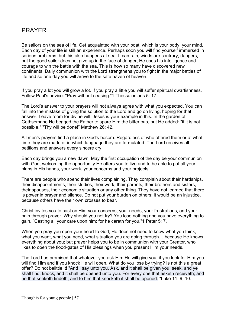## PRAYER

Be sailors on the sea of life. Get acquainted with your boat, which is your body, your mind. Each day of your life is still an experience. Perhaps soon you will find yourself immersed in serious problems, but this also happens at sea. It can rain, winds are contrary, dangers, but the good sailor does not give up in the face of danger, He uses his intelligence and courage to win the battle with the sea. This is how so many have discovered new continents. Daily communion with the Lord strengthens you to fight in the major battles of life and so one day you will arrive to the safe haven of heaven.

If you pray a lot you will grow a lot. If you pray a little you will suffer spiritual dwarfishness. Follow Paul's advice: "Pray without ceasing."1 Thessalonians 5: 17.

The Lord's answer to your prayers will not always agree with what you expected. You can fall into the mistake of giving the solution to the Lord and go on living, hoping for that answer. Leave room for divine will. Jesus is your example in this. In the garden of Gethsemane He begged the Father to spare Him the bitter cup, but He added: "if it is not possible," "Thy will be done!" Matthew 26: 42.

All men's prayers find a place in God's bosom. Regardless of who offered them or at what time they are made or in which language they are formulated. The Lord receives all petitions and answers every sincere cry.

Each day brings you a new dawn. May the first occupation of the day be your communion with God, welcoming the opportunity He offers you to live and to be able to put all your plans in His hands, your work, your concerns and your projects.

There are people who spend their lives complaining. They complain about their hardships, their disappointments, their studies, their work, their parents, their brothers and sisters, their spouses, their economic situation or any other thing. They have not learned that there is power in prayer and silence. Do not put your burden on others; it would be an injustice, because others have their own crosses to bear.

Christ invites you to cast on Him your concerns, your needs, your frustrations, and your pain through prayer. Why should you not try? You lose nothing and you have everything to gain, "Casting all your care upon him; for he careth for you."1 Peter 5: 7.

When you pray you open your heart to God; He does not need to know what you think, what you want, what you need, what situation you are going through… because He knows everything about you; but prayer helps you to be in communion with your Creator, who likes to open the flood-gates of His blessings when you present Him your needs.

The Lord has promised that whatever you ask Him He will give you, if you look for Him you will find Him and if you knock He will open. What do you lose by trying? Is not this a great offer? Do not belittle it! "And I say unto you, Ask, and it shall be given you; seek, and ye shall find; knock, and it shall be opened unto you. For every one that asketh receiveth; and he that seeketh findeth; and to him that knocketh it shall be opened. "Luke 11: 9, 10.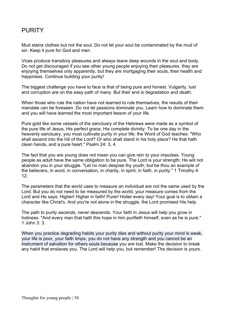## **PURITY**

Mud stains clothes but not the soul. Do not let your soul be contaminated by the mud of sin. Keep it pure for God and men.

Vices produce transitory pleasures and always leave deep wounds in the soul and body. Do not get discouraged if you see other young people enjoying their pleasures, they are enjoying themselves only apparently, but they are mortgaging their souls, their health and happiness. Continue building your purity!

The biggest challenge you have to face is that of being pure and honest. Vulgarity, lust and corruption are on the easy path of many. But their end is degradation and death.

When those who rule the nation have not learned to rule themselves, the results of their mandate can be foreseen. Do not let passions dominate you. Learn how to dominate them and you will have learned the most important lesson of your life.

Pure gold like some vessels of the sanctuary of the Hebrews were made as a symbol of the pure life of Jesus, His perfect grace, His complete divinity. To be one day in the heavenly sanctuary, you must cultivate purity in your life; the Word of God teaches: "Who shall ascend into the hill of the Lord? Or who shall stand in his holy place? He that hath clean hands, and a pure heart." Psalm 24: 3, 4.

The fact that you are young does not mean you can give rein to your impulses. Young people as adult have the same obligation to be pure. The Lord is your strength; He will not abandon you in your struggle. "Let no man despise thy youth; but be thou an example of the believers, in word, in conversation, in charity, in spirit, in faith, in purity." 1 Timothy 4: 12.

The parameters that the world uses to measure an individual are not the same used by the Lord. But you do not need to be measured by the world, your measure comes from the Lord and He says: Higher! Higher in faith! Purer! Holier every day! Your goal is to obtain a character like Christ's. And you're not alone in the struggle, the Lord promised His help.

The path to purity ascends, never descends. Your faith in Jesus will help you grow in holiness. "And every man that hath this hope in him purifieth himself, even as he is pure." 1 John 3: 3.

When you practice degrading habits your purity dies and without purity your mind is weak, your life is poor, your faith limps, you do not have any strength and you cannot be an instrument of salvation for others souls because you are lost. Make the decision to break any habit that enslaves you. The Lord will help you, but remember! The decision is yours.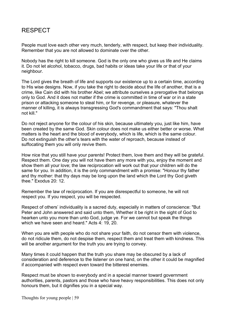## RESPECT

People must love each other very much, tenderly, with respect, but keep their individuality. Remember that you are not allowed to dominate over the other.

Nobody has the right to kill someone. God is the only one who gives us life and He claims it. Do not let alcohol, tobacco, drugs, bad habits or ideas take your life or that of your neighbour.

The Lord gives the breath of life and supports our existence up to a certain time, according to His wise designs. Now, if you take the right to decide about the life of another, that is a crime, like Cain did with his brother Abel; we attribute ourselves a prerogative that belongs only to God. And it does not matter if the crime is committed in time of war or in a state prison or attacking someone to steal him, or for revenge, or pleasure, whatever the manner of killing, it is always transgressing God's commandment that says: "Thou shalt not kill."

Do not reject anyone for the colour of his skin, because ultimately you, just like him, have been created by the same God. Skin colour does not make us either better or worse. What matters is the heart and the blood of everybody, which is life, which is the same colour. Do not extinguish the other's tears with the water of reproach, because instead of suffocating them you will only revive them.

How nice that you still have your parents! Protect them, love them and they will be grateful. Respect them. One day you will not have them any more with you, enjoy the moment and show them all your love; the law reciprocation will work out that your children will do the same for you. In addition, it is the only commandment with a promise: "Honour thy father and thy mother: that thy days may be long upon the land which the Lord thy God giveth thee." Exodus 20: 12.

Remember the law of reciprocation. If you are disrespectful to someone, he will not respect you. If you respect, you will be respected.

Respect of others' individuality is a sacred duty, especially in matters of conscience: "But Peter and John answered and said unto them, Whether it be right in the sight of God to hearken unto you more than unto God, judge ye. For we cannot but speak the things which we have seen and heard." Acts 4: 19, 20.

When you are with people who do not share your faith, do not censor them with violence, do not ridicule them, do not despise them, respect them and treat them with kindness. This will be another argument for the truth you are trying to convey.

Many times it could happen that the truth you share may be obscured by a lack of consideration and deference to the listener on one hand, on the other it could be magnified if accompanied with respect even toward the bitterest enemies.

Respect must be shown to everybody and in a special manner toward government authorities, parents, pastors and those who have heavy responsibilities. This does not only honours them, but it dignifies you in a special way.

Thoughts for young people | 59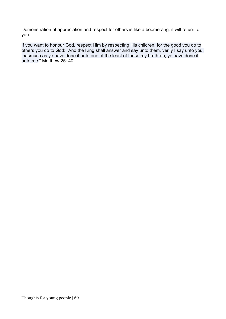Demonstration of appreciation and respect for others is like a boomerang: it will return to you.

If you want to honour God, respect Him by respecting His children, for the good you do to others you do to God: "And the King shall answer and say unto them, verily I say unto you, inasmuch as ye have done it unto one of the least of these my brethren, ye have done it unto me." Matthew 25: 40.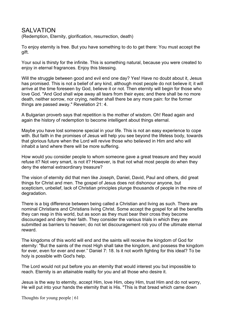### SAI VATION

(Redemption, Eternity, glorification, resurrection, death)

To enjoy eternity is free. But you have something to do to get there: You must accept the gift.

Your soul is thirsty for the infinite. This is something natural, because you were created to enjoy in eternal fragrances. Enjoy this blessing.

Will the struggle between good and evil end one day? Yes! Have no doubt about it, Jesus has promised. This is not a belief of any kind, although most people do not believe it; it will arrive at the time foreseen by God, believe it or not. Then eternity will begin for those who love God. "And God shall wipe away all tears from their eyes; and there shall be no more death, neither sorrow, nor crying, neither shall there be any more pain: for the former things are passed away." Revelation 21: 4.

A Bulgarian proverb says that repetition is the mother of wisdom. Oh! Read again and again the history of redemption to become intelligent about things eternal.

Maybe you have lost someone special in your life. This is not an easy experience to cope with. But faith in the promises of Jesus will help you see beyond the lifeless body, towards that glorious future when the Lord will revive those who believed in Him and who will inhabit a land where there will be more suffering.

How would you consider people to whom someone gave a great treasure and they would refuse it? Not very smart, is not it? However, is that not what most people do when they deny the eternal extraordinary treasure?

The vision of eternity did that men like Joseph, Daniel, David, Paul and others, did great things for Christ and men. The gospel of Jesus does not dishonour anyone, but scepticism, unbelief, lack of Christian principles plunge thousands of people in the mire of degradation.

There is a big difference between being called a Christian and living as such. There are nominal Christians and Christians living Christ. Some accept the gospel for all the benefits they can reap in this world, but as soon as they must bear their cross they become discouraged and deny their faith. They consider the various trials in which they are submitted as barriers to heaven; do not let discouragement rob you of the ultimate eternal reward.

The kingdoms of this world will end and the saints will receive the kingdom of God for eternity: "But the saints of the most High shall take the kingdom, and possess the kingdom for ever, even for ever and ever." Daniel 7: 18. Is it not worth fighting for this ideal? To be holy is possible with God's help.

The Lord would not put before you an eternity that would interest you but impossible to reach. Eternity is an attainable reality for you and all those who desire it.

Jesus is the way to eternity, accept Him, love Him, obey Him, trust Him and do not worry, He will put into your hands the eternity that is His. "This is that bread which came down

Thoughts for young people | 61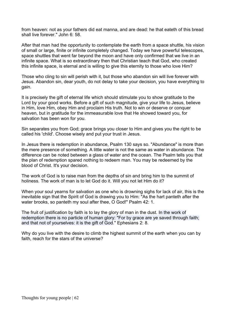from heaven: not as your fathers did eat manna, and are dead: he that eateth of this bread shall live forever." John 6: 58.

After that man had the opportunity to contemplate the earth from a space shuttle, his vision of small or large, finite or infinite completely changed. Today we have powerful telescopes, space shuttles that went far beyond the moon and have only confirmed that we live in an infinite space. What is so extraordinary then that Christian teach that God, who created this infinite space, is eternal and is willing to give this eternity to those who love Him?

Those who cling to sin will perish with it, but those who abandon sin will live forever with Jesus. Abandon sin, dear youth, do not delay to take your decision, you have everything to gain.

It is precisely the gift of eternal life which should stimulate you to show gratitude to the Lord by your good works. Before a gift of such magnitude, give your life to Jesus, believe in Him, love Him, obey Him and proclaim His truth. Not to win or deserve or conquer heaven, but in gratitude for the immeasurable love that He showed toward you, for salvation has been won for you.

Sin separates you from God; grace brings you closer to Him and gives you the right to be called his 'child'. Choose wisely and put your trust in Jesus.

In Jesus there is redemption in abundance, Psalm 130 says so. "Abundance" is more than the mere presence of something. A little water is not the same as water in abundance. The difference can be noted between a glass of water and the ocean. The Psalm tells you that the plan of redemption spared nothing to redeem man. You may be redeemed by the blood of Christ. It's your decision.

The work of God is to raise man from the depths of sin and bring him to the summit of holiness. The work of man is to let God do it. Will you not let Him do it?

When your soul yearns for salvation as one who is drowning sighs for lack of air, this is the inevitable sign that the Spirit of God is drawing you to Him: "As the hart panteth after the water brooks, so panteth my soul after thee, O God!" Psalm 42: 1.

The fruit of justification by faith is to lay the glory of man in the dust. In the work of redemption there is no particle of human glory: "For by grace are ye saved through faith; and that not of yourselves: it is the gift of God." Ephesians 2: 8.

Why do you live with the desire to climb the highest summit of the earth when you can by faith, reach for the stars of the universe?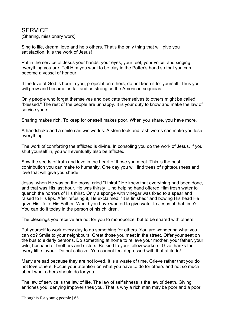### SERVICE

(Sharing, missionary work)

Sing to life, dream, love and help others. That's the only thing that will give you satisfaction. It is the work of Jesus!

Put in the service of Jesus your hands, your eyes, your feet, your voice, and singing, everything you are. Tell Him you want to be clay in the Potter's hand so that you can become a vessel of honour.

If the love of God is born in you, project it on others, do not keep it for yourself. Thus you will grow and become as tall and as strong as the American sequoias.

Only people who forget themselves and dedicate themselves to others might be called "blessed." The rest of the people are unhappy. It is your duty to know and make the law of service yours.

Sharing makes rich. To keep for oneself makes poor. When you share, you have more.

A handshake and a smile can win worlds. A stern look and rash words can make you lose everything.

The work of comforting the afflicted is divine. In consoling you do the work of Jesus. If you shut yourself in, you will eventually also be afflicted.

Sow the seeds of truth and love in the heart of those you meet. This is the best contribution you can make to humanity. One day you will find trees of righteousness and love that will give you shade.

Jesus, when He was on the cross, cried "I thirst." He knew that everything had been done, and that was His last hour. He was thirsty ... no helping hand offered Him fresh water to quench the horrors of His thirst. Only a sponge with vinegar was fixed to a spear and raised to His lips. After refusing it, He exclaimed: "It is finished" and bowing His head He gave His life to His Father. Would you have wanted to give water to Jesus at that time? You can do it today in the person of his children.

The blessings you receive are not for you to monopolize, but to be shared with others.

Put yourself to work every day to do something for others. You are wondering what you can do? Smile to your neighbours. Greet those you meet in the street. Offer your seat on the bus to elderly persons. Do something at home to relieve your mother, your father, your wife, husband or brothers and sisters. Be kind to your fellow workers. Give thanks for every little favour. Do not criticize. You cannot feel depressed with that attitude!

Many are sad because they are not loved. It is a waste of time. Grieve rather that you do not love others. Focus your attention on what you have to do for others and not so much about what others should do for you.

The law of service is the law of life. The law of selfishness is the law of death. Giving enriches you, denying impoverishes you. That is why a rich man may be poor and a poor

Thoughts for young people | 63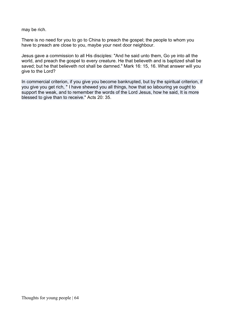may be rich.

There is no need for you to go to China to preach the gospel; the people to whom you have to preach are close to you, maybe your next door neighbour.

Jesus gave a commission to all His disciples: "And he said unto them, Go ye into all the world, and preach the gospel to every creature. He that believeth and is baptized shall be saved; but he that believeth not shall be damned." Mark 16: 15, 16. What answer will you give to the Lord?

In commercial criterion, if you give you become bankrupted, but by the spiritual criterion, if you give you get rich, " I have shewed you all things, how that so labouring ye ought to support the weak, and to remember the words of the Lord Jesus, how he said, It is more blessed to give than to receive." Acts 20: 35.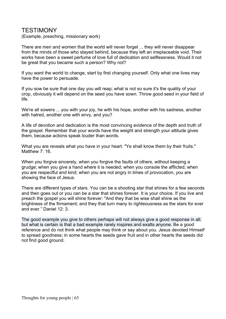### TESTIMONY

(Example, preaching, missionary work)

There are men and women that the world will never forget ... they will never disappear from the minds of those who stayed behind, because they left an irreplaceable void. Their works have been a sweet perfume of love full of dedication and selflessness. Would it not be great that you became such a person? Why not?

If you want the world to change, start by first changing yourself. Only what one lives may have the power to persuade.

If you sow be sure that one day you will reap; what is not so sure it's the quality of your crop, obviously it will depend on the seed you have sown. Throw good seed in your field of life.

We're all sowers ... you with your joy, he with his hope, another with his sadness, another with hatred, another one with envy, and you?

A life of devotion and dedication is the most convincing evidence of the depth and truth of the gospel. Remember that your words have the weight and strength your attitude gives them, because actions speak louder than words.

What you are reveals what you have in your heart. "Ye shall know them by their fruits." Matthew 7: 16

When you forgive sincerely, when you forgive the faults of others, without keeping a grudge; when you give a hand where it is needed; when you console the afflicted; when you are respectful and kind; when you are not angry in times of provocation, you are showing the face of Jesus.

There are different types of stars. You can be a shooting star that shines for a few seconds and then goes out or you can be a star that shines forever. It is your choice. If you live and preach the gospel you will shine forever: "And they that be wise shall shine as the brightness of the firmament; and they that turn many to righteousness as the stars for ever and ever." Daniel 12: 3.

The good example you give to others perhaps will not always give a good response in all; but what is certain is that a bad example rarely inspires and exalts anyone. Be a good reference and do not think what people may think or say about you. Jesus devoted Himself to spread goodness; in some hearts the seeds gave fruit and in other hearts the seeds did not find good ground.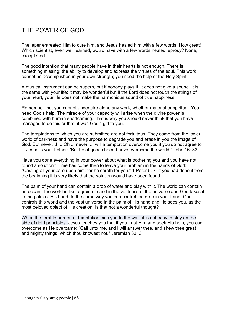# THE POWER OF GOD

The leper entreated Him to cure him, and Jesus healed him with a few words. How great! Which scientist, even well learned, would have with a few words healed leprosy? None, except God.

The good intention that many people have in their hearts is not enough. There is something missing: the ability to develop and express the virtues of the soul. This work cannot be accomplished in your own strength; you need the help of the Holy Spirit.

A musical instrument can be superb, but if nobody plays it, it does not give a sound. It is the same with your life: it may be wonderful but if the Lord does not touch the strings of your heart, your life does not make the harmonious sound of true happiness.

Remember that you cannot undertake alone any work, whether material or spiritual. You need God's help. The miracle of your capacity will arise when the divine power is combined with human shortcoming. That is why you should never think that you have managed to do this or that, it was God's gift to you.

The temptations to which you are submitted are not fortuitous. They come from the lower world of darkness and have the purpose to degrade you and erase in you the image of God. But never...! ... Oh ... never! ... will a temptation overcome you if you do not agree to it. Jesus is your helper: "But be of good cheer; I have overcome the world." John 16: 33.

Have you done everything in your power about what is bothering you and you have not found a solution? Time has come then to leave your problem in the hands of God: "Casting all your care upon him; for he careth for you." 1 Peter 5: 7. If you had done it from the beginning it is very likely that the solution would have been found.

The palm of your hand can contain a drop of water and play with it. The world can contain an ocean. The world is like a grain of sand in the vastness of the universe and God takes it in the palm of His hand. In the same way you can control the drop in your hand, God controls this world and the vast universe in the palm of His hand and He sees you, as the most beloved object of His creation. Is that not a wonderful thought?

When the terrible burden of temptation pins you to the wall, it is not easy to stay on the side of right principles. Jesus teaches you that if you trust Him and seek His help, you can overcome as He overcame: "Call unto me, and I will answer thee, and shew thee great and mighty things, which thou knowest not." Jeremiah 33: 3.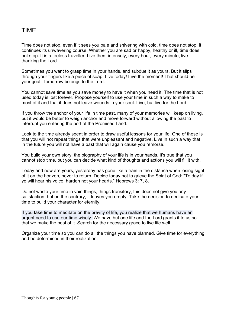## TIME

Time does not stop, even if it sees you pale and shivering with cold, time does not stop, it continues its unwavering course. Whether you are sad or happy, healthy or ill, time does not stop. It is a tireless traveller. Live then, intensely, every hour, every minute, live thanking the Lord.

Sometimes you want to grasp time in your hands, and subdue it as yours. But it slips through your fingers like a piece of soap. Live today! Live the moment! That should be your goal. Tomorrow belongs to the Lord.

You cannot save time as you save money to have it when you need it. The time that is not used today is lost forever. Propose yourself to use your time in such a way to make to most of it and that it does not leave wounds in your soul. Live, but live for the Lord.

If you throw the anchor of your life in time past, many of your memories will keep on living, but it would be better to weigh anchor and move forward without allowing the past to interrupt you entering the port of the Promised Land.

Look to the time already spent in order to draw useful lessons for your life. One of these is that you will not repeat things that were unpleasant and negative. Live in such a way that in the future you will not have a past that will again cause you remorse.

You build your own story; the biography of your life is in your hands. It's true that you cannot stop time, but you can decide what kind of thoughts and actions you will fill it with.

Today and now are yours, yesterday has gone like a train in the distance when losing sight of it on the horizon, never to return. Decide today not to grieve the Spirit of God: "To day if ye will hear his voice, harden not your hearts." Hebrews 3: 7, 8.

Do not waste your time in vain things, things transitory, this does not give you any satisfaction, but on the contrary, it leaves you empty. Take the decision to dedicate your time to build your character for eternity.

If you take time to meditate on the brevity of life, you realize that we humans have an urgent need to use our time wisely. We have but one life and the Lord grants it to us so that we make the best of it. Search for the necessary grace to live life well.

Organize your time so you can do all the things you have planned. Give time for everything and be determined in their realization.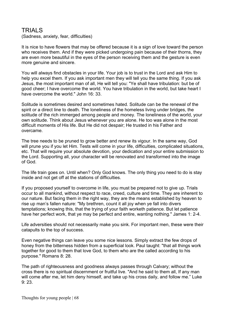### TRIALS

(Sadness, anxiety, fear, difficulties)

It is nice to have flowers that may be offered because it is a sign of love toward the person who receives them. And if they were picked undergoing pain because of their thorns, they are even more beautiful in the eyes of the person receiving them and the gesture is even more genuine and sincere.

You will always find obstacles in your life. Your job is to trust in the Lord and ask Him to help you excel them. If you ask important men they will tell you the same thing. If you ask Jesus, the most important man of all, He will tell you: "Ye shall have tribulation: but be of good cheer; I have overcome the world. You have tribulation in the world, but take heart I have overcome the world." John 16: 33.

Solitude is sometimes desired and sometimes hated. Solitude can be the renewal of the spirit or a direct line to death. The loneliness of the homeless living under bridges, the solitude of the rich immerged among people and money. The loneliness of the world, your own solitude. Think about Jesus whenever you are alone. He too was alone in the most difficult moments of His life. But He did not despair; He trusted in his Father and overcame.

The tree needs to be pruned to grow better and renew its vigour. In the same way, God will prune you if you let Him. Tests will come in your life, difficulties, complicated situations, etc. That will require your absolute devotion, your dedication and your entire submission to the Lord. Supporting all, your character will be renovated and transformed into the image of God.

The life train goes on. Until when? Only God knows. The only thing you need to do is stay inside and not get off at the stations of difficulties.

If you proposed yourself to overcome in life, you must be prepared not to give up. Trials occur to all mankind, without respect to race, creed, culture and time. They are inherent to our nature. But facing them in the right way, they are the means established by heaven to rise up man's fallen nature: "My brethren, count it all joy when ye fall into divers temptations; knowing this, that the trying of your faith worketh patience. But let patience have her perfect work, that ye may be perfect and entire, wanting nothing." James 1: 2-4.

Life adversities should not necessarily make you sink. For important men, these were their catapults to the top of success.

Even negative things can leave you some nice lessons. Simply extract the few drops of honey from the bitterness hidden from a superficial look. Paul taught: "that all things work together for good to them that love God, to them who are the called according to his purpose." Romans 8: 28.

The path of righteousness and goodness always passes through Calvary; without the cross there is no spiritual discernment or fruitful live. "And he said to them all, If any man will come after me, let him deny himself, and take up his cross daily, and follow me." Luke 9: 23.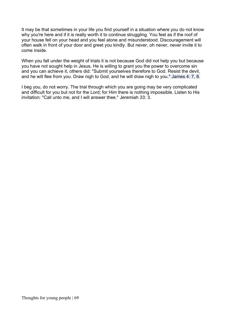It may be that sometimes in your life you find yourself in a situation where you do not know why you're here and if it is really worth it to continue struggling. You feel as if the roof of your house fell on your head and you feel alone and misunderstood. Discouragement will often walk in front of your door and greet you kindly. But never, oh never, never invite it to come inside.

When you fall under the weight of trials it is not because God did not help you but because you have not sought help in Jesus. He is willing to grant you the power to overcome sin and you can achieve it, others did: "Submit yourselves therefore to God. Resist the devil, and he will flee from you. Draw nigh to God, and he will draw nigh to you." James 4: 7, 8.

I beg you, do not worry. The trial through which you are going may be very complicated and difficult for you but not for the Lord; for Him there is nothing impossible. Listen to His invitation: "Call unto me, and I will answer thee." Jeremiah 33: 3.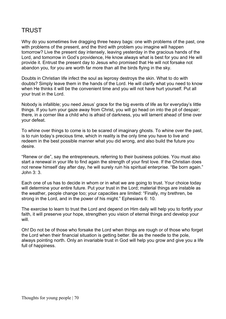# TRUST

Why do you sometimes live dragging three heavy bags: one with problems of the past, one with problems of the present, and the third with problem you imagine will happen tomorrow? Live the present day intensely, leaving yesterday in the gracious hands of the Lord, and tomorrow in God's providence, He know always what is best for you and He will provide it. Entrust the present day to Jesus who promised that He will not forsake not abandon you, for you are worth far more than all the birds flying in the sky.

Doubts in Christian life infect the soul as leprosy destroys the skin. What to do with doubts? Simply leave them in the hands of the Lord. He will clarify what you need to know when He thinks it will be the convenient time and you will not have hurt yourself. Put all your trust in the Lord.

Nobody is infallible; you need Jesus' grace for the big events of life as for everyday's little things. If you turn your gaze away from Christ, you will go head on into the pit of despair; there, in a corner like a child who is afraid of darkness, you will lament ahead of time over your defeat.

To whine over things to come is to be scared of imaginary ghosts. To whine over the past, is to ruin today's precious time, which in reality is the only time you have to live and redeem in the best possible manner what you did wrong, and also build the future you desire.

"Renew or die", say the entrepreneurs, referring to their business policies. You must also start a renewal in your life to find again the strength of your first love. If the Christian does not renew himself day after day, he will surely ruin his spiritual enterprise. "Be born again." John 3: 3.

Each one of us has to decide in whom or in what we are going to trust. Your choice today will determine your entire future. Put your trust in the Lord; material things are instable as the weather, people change too; your capacities are limited: "Finally, my brethren, be strong in the Lord, and in the power of his might." Ephesians 6: 10.

The exercise to learn to trust the Lord and depend on Him daily will help you to fortify your faith, it will preserve your hope, strengthen you vision of eternal things and develop your will.

Oh! Do not be of those who forsake the Lord when things are rough or of those who forget the Lord when their financial situation is getting better. Be as the needle to the pole, always pointing north. Only an invariable trust in God will help you grow and give you a life full of happiness.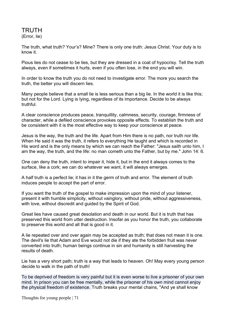TRUTH (Error, lie)

The truth, what truth? Your's? Mine? There is only one truth: Jesus Christ. Your duty is to know it.

Pious lies do not cease to be lies, but they are dressed in a coat of hypocrisy. Tell the truth always, even if sometimes it hurts, even if you often lose, in the end you will win.

In order to know the truth you do not need to investigate error. The more you search the truth, the better you will discern lies.

Many people believe that a small lie is less serious than a big lie. In the world it is like this; but not for the Lord. Lying is lying, regardless of its importance. Decide to be always truthful.

A clear conscience produces peace, tranquillity, calmness, security, courage, firmness of character, while a defiled conscience provokes opposite effects. To establish the truth and be consistent with it is the most effective way to keep your conscience at peace.

Jesus is the way, the truth and the life. Apart from Him there is no path, nor truth nor life. When He said it was the truth, it refers to everything He taught and which is recorded in His word and is the only means by which we can reach the Father: "Jesus saith unto him, I am the way, the truth, and the life: no man cometh unto the Father, but by me." John 14: 6.

One can deny the truth, intent to impair it, hide it, but in the end it always comes to the surface, like a cork; we can do whatever we want, it will always emerges.

A half truth is a perfect lie; it has in it the germ of truth and error. The element of truth induces people to accept the part of error.

If you want the truth of the gospel to make impression upon the mind of your listener, present it with humble simplicity, without vainglory, without pride, without aggressiveness, with love, without discredit and guided by the Spirit of God.

Great lies have caused great desolation and death in our world. But it is truth that has preserved this world from utter destruction. Insofar as you honor the truth, you collaborate to preserve this world and all that is good in it.

A lie repeated over and over again may be accepted as truth; that does not mean it is one. The devil's lie that Adam and Eve would not die if they ate the forbidden fruit was never converted into truth; human beings continue in sin and humanity is still harvesting the results of death.

Lie has a very short path; truth is a way that leads to heaven. Oh! May every young person decide to walk in the path of truth!

To be deprived of freedom is very painful but it is even worse to live a prisoner of your own mind. In prison you can be free mentally, while the prisoner of his own mind cannot enjoy the physical freedom of existence. Truth breaks your mental chains, "And ye shall know

Thoughts for young people | 71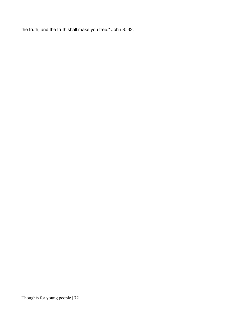the truth, and the truth shall make you free." John 8: 32.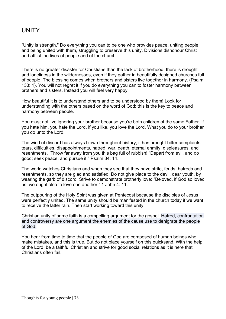## **UNITY**

"Unity is strength." Do everything you can to be one who provides peace, uniting people and being united with them, struggling to preserve this unity. Divisions dishonour Christ and afflict the lives of people and of the church.

There is no greater disaster for Christians than the lack of brotherhood; there is drought and loneliness in the wildernesses, even if they gather in beautifully designed churches full of people. The blessing comes when brothers and sisters live together in harmony. (Psalm 133: 1). You will not regret it if you do everything you can to foster harmony between brothers and sisters. Instead you will feel very happy.

How beautiful it is to understand others and to be understood by them! Look for understanding with the others based on the word of God; this is the key to peace and harmony between people.

You must not live ignoring your brother because you're both children of the same Father. If you hate him, you hate the Lord, if you like, you love the Lord. What you do to your brother you do unto the Lord.

The wind of discord has always blown throughout history; it has brought bitter complaints, tears, difficulties, disappointments, hatred, war, death, eternal enmity, displeasures, and resentments. Throw far away from you this bag full of rubbish! "Depart from evil, and do good; seek peace, and pursue it." Psalm 34: 14.

The world watches Christians and when they see that they have strife, feuds, hatreds and resentments, so they are glad and satisfied. Do not give place to the devil, dear youth, by wearing the garb of discord. Strive to demonstrate brotherly love: "Beloved, if God so loved us, we ought also to love one another." 1 John 4: 11.

The outpouring of the Holy Spirit was given at Pentecost because the disciples of Jesus were perfectly united. The same unity should be manifested in the church today if we want to receive the latter rain. Then start working toward this unity.

Christian unity of same faith is a compelling argument for the gospel. Hatred, confrontation and controversy are one argument the enemies of the cause use to denigrate the people of God.

You hear from time to time that the people of God are composed of human beings who make mistakes, and this is true. But do not place yourself on this quicksand. With the help of the Lord, be a faithful Christian and strive for good social relations as it is here that Christians often fail.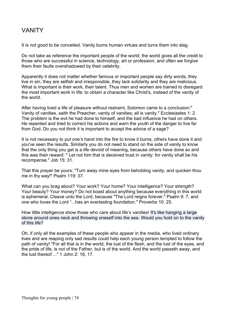## VANITY

It is not good to be conceited. Vanity burns human virtues and turns them into slag.

Do not take as reference the important people of the world; the world gives all the credit to those who are successful in science, technology, art or profession, and often we forgive them their faults overshadowed by their celebrity.

Apparently it does not matter whether famous or important people say dirty words, they live in sin, they are selfish and irresponsible, they lack solidarity and they are malicious. What is important is their work, their talent. Thus men and women are trained to disregard the most important work in life: to obtain a character like Christ's, instead of the vanity of the world.

After having lived a life of pleasure without restraint, Solomon came to a conclusion:" Vanity of vanities, saith the Preacher, vanity of vanities; all is vanity." Ecclesiastes 1: 2. The problem is the evil he had done to himself, and the bad influence he had on others. He repented and tried to correct his actions and warn the youth of the danger to live far from God. Do you not think it is important to accept the advice of a sage?

It is not necessary to put one's hand into the fire to know it burns, others have done it and you've seen the results. Similarly you do not need to stand on the side of vanity to know that the only thing you get is a life devoid of meaning, because others have done so and this was their reward: " Let not him that is deceived trust in vanity: for vanity shall be his recompense." Job 15: 31.

That this prayer be yours: "Turn away mine eyes from beholding vanity; and quicken thou me in thy way!" Psalm 119: 37.

What can you brag about? Your work? Your home? Your intelligence? Your strength? Your beauty? Your money? Do not boast about anything because everything in this world is ephemeral. Cleave unto the Lord, because "The Lord reigns forever." Psalm 9: 7, and one who loves the Lord "...has an everlasting foundation." Proverbs 10: 25.

How little intelligence show those who care about life's vanities! It's like hanging a large stone around ones neck and throwing oneself into the sea. Would you hold on to the vanity of this life?

Oh, if only all the examples of these people who appear in the media, who lived ordinary lives and are reaping only sad results could help each young person tempted to follow the path of vanity! "For all that is in the world, the lust of the flesh, and the lust of the eyes, and the pride of life, is not of the Father, but is of the world. And the world passeth away, and the lust thereof ..." 1 John 2: 16, 17.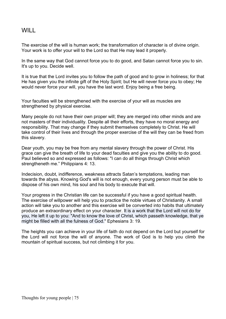## WILL

The exercise of the will is human work; the transformation of character is of divine origin. Your work is to offer your will to the Lord so that He may lead it properly.

In the same way that God cannot force you to do good, and Satan cannot force you to sin. It's up to you. Decide well.

It is true that the Lord invites you to follow the path of good and to grow in holiness; for that He has given you the infinite gift of the Holy Spirit; but He will never force you to obey; He would never force your will, you have the last word. Enjoy being a free being.

Your faculties will be strengthened with the exercise of your will as muscles are strengthened by physical exercise.

Many people do not have their own proper will; they are merged into other minds and are not masters of their individuality. Despite all their efforts, they have no moral energy and responsibility. That may change if they submit themselves completely to Christ. He will take control of their lives and through the proper exercise of the will they can be freed from this slavery.

Dear youth, you may be free from any mental slavery through the power of Christ. His grace can give the breath of life to your dead faculties and give you the ability to do good. Paul believed so and expressed as follows: "I can do all things through Christ which strengtheneth me." Philippians 4: 13.

Indecision, doubt, indifference, weakness attracts Satan's temptations, leading man towards the abyss. Knowing God's will is not enough, every young person must be able to dispose of his own mind, his soul and his body to execute that will.

Your progress in the Christian life can be successful if you have a good spiritual health. The exercise of willpower will help you to practice the noble virtues of Christianity. A small action will take you to another and this exercise will be converted into habits that ultimately produce an extraordinary effect on your character. It is a work that the Lord will not do for you, He left it up to you: "And to know the love of Christ, which passeth knowledge, that ye might be filled with all the fulness of God." Ephesians 3: 19.

The heights you can achieve in your life of faith do not depend on the Lord but yourself for the Lord will not force the will of anyone. The work of God is to help you climb the mountain of spiritual success, but not climbing it for you.